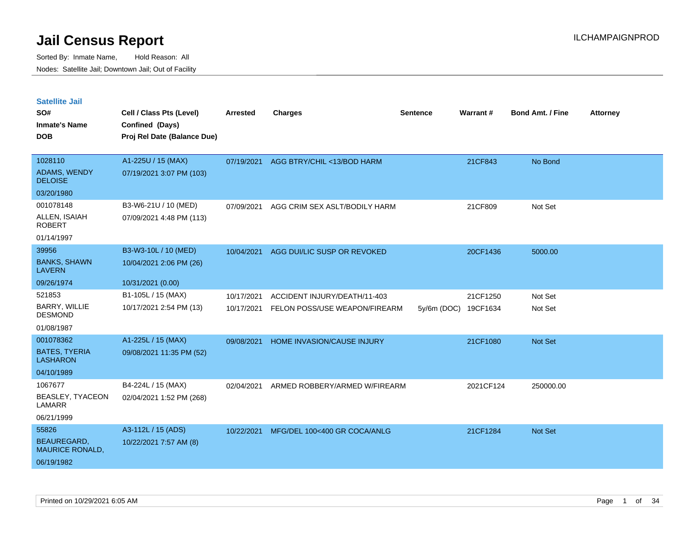| <b>Satellite Jail</b><br>SO#<br><b>Inmate's Name</b> | Cell / Class Pts (Level)<br>Confined (Days)      | <b>Arrested</b> | <b>Charges</b>                | <b>Sentence</b> | <b>Warrant#</b> | <b>Bond Amt. / Fine</b> | <b>Attorney</b> |
|------------------------------------------------------|--------------------------------------------------|-----------------|-------------------------------|-----------------|-----------------|-------------------------|-----------------|
| <b>DOB</b>                                           | Proj Rel Date (Balance Due)                      |                 |                               |                 |                 |                         |                 |
| 1028110<br><b>ADAMS, WENDY</b><br><b>DELOISE</b>     | A1-225U / 15 (MAX)<br>07/19/2021 3:07 PM (103)   | 07/19/2021      | AGG BTRY/CHIL <13/BOD HARM    |                 | 21CF843         | No Bond                 |                 |
| 03/20/1980                                           |                                                  |                 |                               |                 |                 |                         |                 |
| 001078148<br>ALLEN, ISAIAH<br><b>ROBERT</b>          | B3-W6-21U / 10 (MED)<br>07/09/2021 4:48 PM (113) | 07/09/2021      | AGG CRIM SEX ASLT/BODILY HARM |                 | 21CF809         | Not Set                 |                 |
| 01/14/1997                                           |                                                  |                 |                               |                 |                 |                         |                 |
| 39956                                                | B3-W3-10L / 10 (MED)                             | 10/04/2021      | AGG DUI/LIC SUSP OR REVOKED   |                 | 20CF1436        | 5000.00                 |                 |
| <b>BANKS, SHAWN</b><br><b>LAVERN</b>                 | 10/04/2021 2:06 PM (26)                          |                 |                               |                 |                 |                         |                 |
| 09/26/1974                                           | 10/31/2021 (0.00)                                |                 |                               |                 |                 |                         |                 |
| 521853                                               | B1-105L / 15 (MAX)                               | 10/17/2021      | ACCIDENT INJURY/DEATH/11-403  |                 | 21CF1250        | Not Set                 |                 |
| BARRY, WILLIE<br><b>DESMOND</b>                      | 10/17/2021 2:54 PM (13)                          | 10/17/2021      | FELON POSS/USE WEAPON/FIREARM | $5y/6m$ (DOC)   | 19CF1634        | Not Set                 |                 |
| 01/08/1987                                           |                                                  |                 |                               |                 |                 |                         |                 |
| 001078362                                            | A1-225L / 15 (MAX)                               | 09/08/2021      | HOME INVASION/CAUSE INJURY    |                 | 21CF1080        | Not Set                 |                 |
| <b>BATES, TYERIA</b><br><b>LASHARON</b>              | 09/08/2021 11:35 PM (52)                         |                 |                               |                 |                 |                         |                 |
| 04/10/1989                                           |                                                  |                 |                               |                 |                 |                         |                 |
| 1067677<br>BEASLEY, TYACEON<br>LAMARR                | B4-224L / 15 (MAX)<br>02/04/2021 1:52 PM (268)   | 02/04/2021      | ARMED ROBBERY/ARMED W/FIREARM |                 | 2021CF124       | 250000.00               |                 |
| 06/21/1999                                           |                                                  |                 |                               |                 |                 |                         |                 |
| 55826                                                | A3-112L / 15 (ADS)                               | 10/22/2021      | MFG/DEL 100<400 GR COCA/ANLG  |                 | 21CF1284        | Not Set                 |                 |
| <b>BEAUREGARD,</b><br><b>MAURICE RONALD,</b>         | 10/22/2021 7:57 AM (8)                           |                 |                               |                 |                 |                         |                 |
| 06/19/1982                                           |                                                  |                 |                               |                 |                 |                         |                 |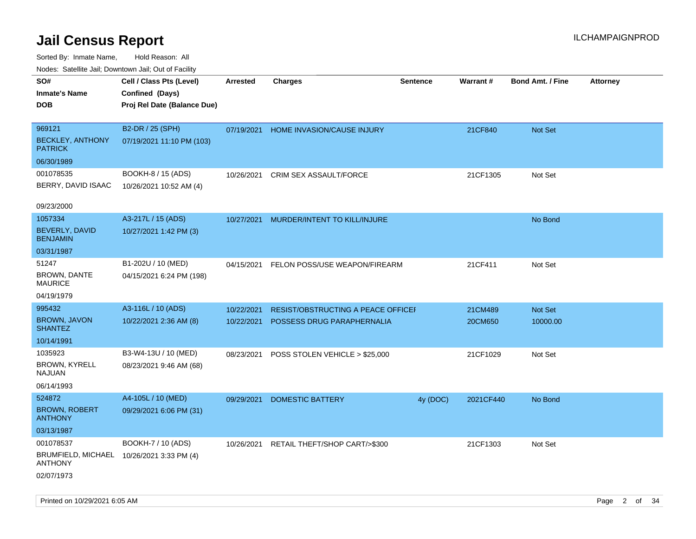| rouco. Calcinic Jan, Downtown Jan, Out of Facility |                                           |                 |                                    |                 |           |                         |                 |
|----------------------------------------------------|-------------------------------------------|-----------------|------------------------------------|-----------------|-----------|-------------------------|-----------------|
| SO#                                                | Cell / Class Pts (Level)                  | <b>Arrested</b> | <b>Charges</b>                     | <b>Sentence</b> | Warrant#  | <b>Bond Amt. / Fine</b> | <b>Attorney</b> |
| Inmate's Name                                      | Confined (Days)                           |                 |                                    |                 |           |                         |                 |
| <b>DOB</b>                                         | Proj Rel Date (Balance Due)               |                 |                                    |                 |           |                         |                 |
|                                                    |                                           |                 |                                    |                 |           |                         |                 |
| 969121                                             | B2-DR / 25 (SPH)                          | 07/19/2021      | HOME INVASION/CAUSE INJURY         |                 | 21CF840   | Not Set                 |                 |
| <b>BECKLEY, ANTHONY</b><br><b>PATRICK</b>          | 07/19/2021 11:10 PM (103)                 |                 |                                    |                 |           |                         |                 |
| 06/30/1989                                         |                                           |                 |                                    |                 |           |                         |                 |
| 001078535                                          | BOOKH-8 / 15 (ADS)                        | 10/26/2021      | CRIM SEX ASSAULT/FORCE             |                 | 21CF1305  | Not Set                 |                 |
| BERRY, DAVID ISAAC                                 | 10/26/2021 10:52 AM (4)                   |                 |                                    |                 |           |                         |                 |
|                                                    |                                           |                 |                                    |                 |           |                         |                 |
| 09/23/2000                                         |                                           |                 |                                    |                 |           |                         |                 |
| 1057334                                            | A3-217L / 15 (ADS)                        | 10/27/2021      | MURDER/INTENT TO KILL/INJURE       |                 |           | No Bond                 |                 |
| BEVERLY, DAVID<br><b>BENJAMIN</b>                  | 10/27/2021 1:42 PM (3)                    |                 |                                    |                 |           |                         |                 |
| 03/31/1987                                         |                                           |                 |                                    |                 |           |                         |                 |
| 51247                                              | B1-202U / 10 (MED)                        | 04/15/2021      | FELON POSS/USE WEAPON/FIREARM      |                 | 21CF411   | Not Set                 |                 |
| <b>BROWN, DANTE</b><br>MAURICE                     | 04/15/2021 6:24 PM (198)                  |                 |                                    |                 |           |                         |                 |
| 04/19/1979                                         |                                           |                 |                                    |                 |           |                         |                 |
| 995432                                             | A3-116L / 10 (ADS)                        | 10/22/2021      | RESIST/OBSTRUCTING A PEACE OFFICEF |                 | 21CM489   | Not Set                 |                 |
| <b>BROWN, JAVON</b><br><b>SHANTEZ</b>              | 10/22/2021 2:36 AM (8)                    | 10/22/2021      | POSSESS DRUG PARAPHERNALIA         |                 | 20CM650   | 10000.00                |                 |
| 10/14/1991                                         |                                           |                 |                                    |                 |           |                         |                 |
| 1035923                                            | B3-W4-13U / 10 (MED)                      | 08/23/2021      | POSS STOLEN VEHICLE > \$25,000     |                 | 21CF1029  | Not Set                 |                 |
| <b>BROWN, KYRELL</b><br>NAJUAN                     | 08/23/2021 9:46 AM (68)                   |                 |                                    |                 |           |                         |                 |
| 06/14/1993                                         |                                           |                 |                                    |                 |           |                         |                 |
| 524872                                             | A4-105L / 10 (MED)                        | 09/29/2021      | <b>DOMESTIC BATTERY</b>            | 4y (DOC)        | 2021CF440 | No Bond                 |                 |
| <b>BROWN, ROBERT</b><br><b>ANTHONY</b>             | 09/29/2021 6:06 PM (31)                   |                 |                                    |                 |           |                         |                 |
| 03/13/1987                                         |                                           |                 |                                    |                 |           |                         |                 |
| 001078537                                          | BOOKH-7 / 10 (ADS)                        | 10/26/2021      | RETAIL THEFT/SHOP CART/>\$300      |                 | 21CF1303  | Not Set                 |                 |
| <b>ANTHONY</b>                                     | BRUMFIELD, MICHAEL 10/26/2021 3:33 PM (4) |                 |                                    |                 |           |                         |                 |
| 02/07/1973                                         |                                           |                 |                                    |                 |           |                         |                 |
|                                                    |                                           |                 |                                    |                 |           |                         |                 |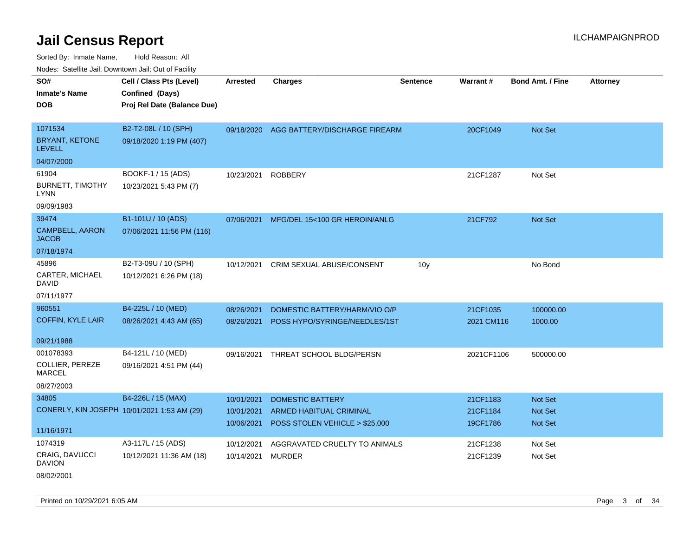Sorted By: Inmate Name, Hold Reason: All Nodes: Satellite Jail; Downtown Jail; Out of Facility

| wacs. Calcinic Jan, Downtown Jan, Out of Facility |                             |            |                                          |                 |            |                         |                 |
|---------------------------------------------------|-----------------------------|------------|------------------------------------------|-----------------|------------|-------------------------|-----------------|
| SO#                                               | Cell / Class Pts (Level)    | Arrested   | <b>Charges</b>                           | <b>Sentence</b> | Warrant#   | <b>Bond Amt. / Fine</b> | <b>Attorney</b> |
| <b>Inmate's Name</b>                              | Confined (Days)             |            |                                          |                 |            |                         |                 |
| <b>DOB</b>                                        | Proj Rel Date (Balance Due) |            |                                          |                 |            |                         |                 |
|                                                   |                             |            |                                          |                 |            |                         |                 |
| 1071534                                           | B2-T2-08L / 10 (SPH)        |            | 09/18/2020 AGG BATTERY/DISCHARGE FIREARM |                 | 20CF1049   | Not Set                 |                 |
| BRYANT, KETONE<br><b>LEVELL</b>                   | 09/18/2020 1:19 PM (407)    |            |                                          |                 |            |                         |                 |
| 04/07/2000                                        |                             |            |                                          |                 |            |                         |                 |
| 61904                                             | BOOKF-1 / 15 (ADS)          | 10/23/2021 | <b>ROBBERY</b>                           |                 | 21CF1287   | Not Set                 |                 |
| <b>BURNETT, TIMOTHY</b><br><b>LYNN</b>            | 10/23/2021 5:43 PM (7)      |            |                                          |                 |            |                         |                 |
| 09/09/1983                                        |                             |            |                                          |                 |            |                         |                 |
| 39474                                             | B1-101U / 10 (ADS)          | 07/06/2021 | MFG/DEL 15<100 GR HEROIN/ANLG            |                 | 21CF792    | Not Set                 |                 |
| CAMPBELL, AARON<br><b>JACOB</b>                   | 07/06/2021 11:56 PM (116)   |            |                                          |                 |            |                         |                 |
| 07/18/1974                                        |                             |            |                                          |                 |            |                         |                 |
| 45896                                             | B2-T3-09U / 10 (SPH)        | 10/12/2021 | CRIM SEXUAL ABUSE/CONSENT                | 10 <sub>y</sub> |            | No Bond                 |                 |
| CARTER, MICHAEL<br>David                          | 10/12/2021 6:26 PM (18)     |            |                                          |                 |            |                         |                 |
| 07/11/1977                                        |                             |            |                                          |                 |            |                         |                 |
| 960551                                            | B4-225L / 10 (MED)          | 08/26/2021 | DOMESTIC BATTERY/HARM/VIO O/P            |                 | 21CF1035   | 100000.00               |                 |
| COFFIN, KYLE LAIR                                 | 08/26/2021 4:43 AM (65)     | 08/26/2021 | POSS HYPO/SYRINGE/NEEDLES/1ST            |                 | 2021 CM116 | 1000.00                 |                 |
|                                                   |                             |            |                                          |                 |            |                         |                 |
| 09/21/1988                                        |                             |            |                                          |                 |            |                         |                 |
| 001078393                                         | B4-121L / 10 (MED)          | 09/16/2021 | THREAT SCHOOL BLDG/PERSN                 |                 | 2021CF1106 | 500000.00               |                 |
| <b>COLLIER, PEREZE</b><br><b>MARCEL</b>           | 09/16/2021 4:51 PM (44)     |            |                                          |                 |            |                         |                 |
| 08/27/2003                                        |                             |            |                                          |                 |            |                         |                 |
| 34805                                             | B4-226L / 15 (MAX)          | 10/01/2021 | <b>DOMESTIC BATTERY</b>                  |                 | 21CF1183   | <b>Not Set</b>          |                 |
| CONERLY, KIN JOSEPH 10/01/2021 1:53 AM (29)       |                             | 10/01/2021 | ARMED HABITUAL CRIMINAL                  |                 | 21CF1184   | Not Set                 |                 |
|                                                   |                             | 10/06/2021 | POSS STOLEN VEHICLE > \$25,000           |                 | 19CF1786   | <b>Not Set</b>          |                 |
| 11/16/1971                                        |                             |            |                                          |                 |            |                         |                 |
| 1074319                                           | A3-117L / 15 (ADS)          | 10/12/2021 | AGGRAVATED CRUELTY TO ANIMALS            |                 | 21CF1238   | Not Set                 |                 |
| CRAIG, DAVUCCI<br>DAVION                          | 10/12/2021 11:36 AM (18)    | 10/14/2021 | <b>MURDER</b>                            |                 | 21CF1239   | Not Set                 |                 |
|                                                   |                             |            |                                          |                 |            |                         |                 |

08/02/2001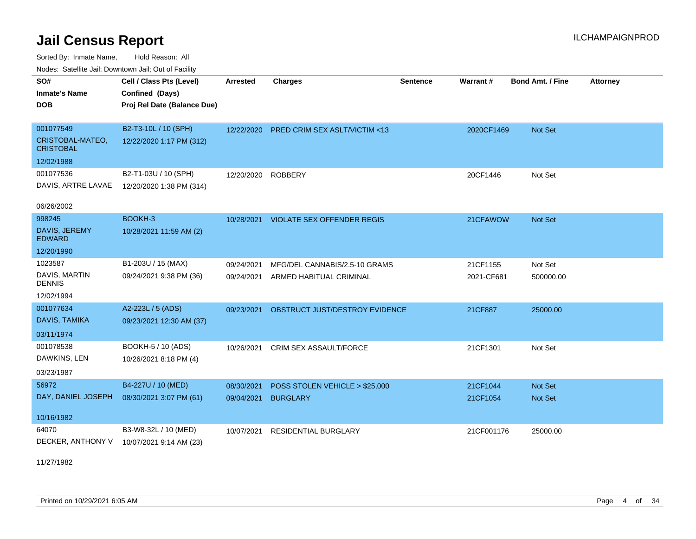Sorted By: Inmate Name, Hold Reason: All Nodes: Satellite Jail; Downtown Jail; Out of Facility

| SO#                                  | Cell / Class Pts (Level)    | <b>Arrested</b> | <b>Charges</b>                        | <b>Sentence</b> | Warrant#   | <b>Bond Amt. / Fine</b> | <b>Attorney</b> |
|--------------------------------------|-----------------------------|-----------------|---------------------------------------|-----------------|------------|-------------------------|-----------------|
| <b>Inmate's Name</b>                 | Confined (Days)             |                 |                                       |                 |            |                         |                 |
| <b>DOB</b>                           | Proj Rel Date (Balance Due) |                 |                                       |                 |            |                         |                 |
|                                      |                             |                 |                                       |                 |            |                         |                 |
| 001077549                            | B2-T3-10L / 10 (SPH)        | 12/22/2020      | PRED CRIM SEX ASLT/VICTIM <13         |                 | 2020CF1469 | Not Set                 |                 |
| CRISTOBAL-MATEO,<br><b>CRISTOBAL</b> | 12/22/2020 1:17 PM (312)    |                 |                                       |                 |            |                         |                 |
| 12/02/1988                           |                             |                 |                                       |                 |            |                         |                 |
| 001077536                            | B2-T1-03U / 10 (SPH)        | 12/20/2020      | <b>ROBBERY</b>                        |                 | 20CF1446   | Not Set                 |                 |
| DAVIS, ARTRE LAVAE                   | 12/20/2020 1:38 PM (314)    |                 |                                       |                 |            |                         |                 |
| 06/26/2002                           |                             |                 |                                       |                 |            |                         |                 |
| 998245                               | BOOKH-3                     |                 | 10/28/2021 VIOLATE SEX OFFENDER REGIS |                 | 21CFAWOW   | Not Set                 |                 |
| DAVIS, JEREMY                        | 10/28/2021 11:59 AM (2)     |                 |                                       |                 |            |                         |                 |
| <b>EDWARD</b>                        |                             |                 |                                       |                 |            |                         |                 |
| 12/20/1990                           |                             |                 |                                       |                 |            |                         |                 |
| 1023587                              | B1-203U / 15 (MAX)          | 09/24/2021      | MFG/DEL CANNABIS/2.5-10 GRAMS         |                 | 21CF1155   | Not Set                 |                 |
| DAVIS, MARTIN<br><b>DENNIS</b>       | 09/24/2021 9:38 PM (36)     | 09/24/2021      | ARMED HABITUAL CRIMINAL               |                 | 2021-CF681 | 500000.00               |                 |
| 12/02/1994                           |                             |                 |                                       |                 |            |                         |                 |
| 001077634                            | A2-223L / 5 (ADS)           | 09/23/2021      | OBSTRUCT JUST/DESTROY EVIDENCE        |                 | 21CF887    | 25000.00                |                 |
| DAVIS, TAMIKA                        | 09/23/2021 12:30 AM (37)    |                 |                                       |                 |            |                         |                 |
| 03/11/1974                           |                             |                 |                                       |                 |            |                         |                 |
| 001078538                            | BOOKH-5 / 10 (ADS)          | 10/26/2021      | CRIM SEX ASSAULT/FORCE                |                 | 21CF1301   | Not Set                 |                 |
| DAWKINS, LEN                         | 10/26/2021 8:18 PM (4)      |                 |                                       |                 |            |                         |                 |
| 03/23/1987                           |                             |                 |                                       |                 |            |                         |                 |
| 56972                                | B4-227U / 10 (MED)          | 08/30/2021      | POSS STOLEN VEHICLE > \$25,000        |                 | 21CF1044   | Not Set                 |                 |
| DAY, DANIEL JOSEPH                   | 08/30/2021 3:07 PM (61)     | 09/04/2021      | <b>BURGLARY</b>                       |                 | 21CF1054   | Not Set                 |                 |
|                                      |                             |                 |                                       |                 |            |                         |                 |
| 10/16/1982                           |                             |                 |                                       |                 |            |                         |                 |
| 64070                                | B3-W8-32L / 10 (MED)        | 10/07/2021      | <b>RESIDENTIAL BURGLARY</b>           |                 | 21CF001176 | 25000.00                |                 |
| DECKER, ANTHONY V                    | 10/07/2021 9:14 AM (23)     |                 |                                       |                 |            |                         |                 |

11/27/1982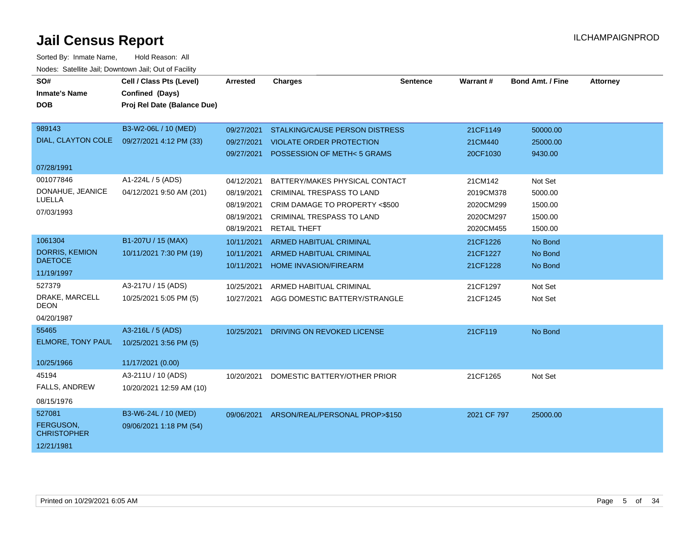| SO#                             | Cell / Class Pts (Level)    | <b>Arrested</b> | <b>Charges</b>                            | <b>Sentence</b> | Warrant #   | <b>Bond Amt. / Fine</b> | <b>Attorney</b> |
|---------------------------------|-----------------------------|-----------------|-------------------------------------------|-----------------|-------------|-------------------------|-----------------|
| <b>Inmate's Name</b>            | Confined (Days)             |                 |                                           |                 |             |                         |                 |
| <b>DOB</b>                      | Proj Rel Date (Balance Due) |                 |                                           |                 |             |                         |                 |
|                                 |                             |                 |                                           |                 |             |                         |                 |
| 989143                          | B3-W2-06L / 10 (MED)        | 09/27/2021      | <b>STALKING/CAUSE PERSON DISTRESS</b>     |                 | 21CF1149    | 50000.00                |                 |
| DIAL, CLAYTON COLE              | 09/27/2021 4:12 PM (33)     | 09/27/2021      | <b>VIOLATE ORDER PROTECTION</b>           |                 | 21CM440     | 25000.00                |                 |
|                                 |                             | 09/27/2021      | POSSESSION OF METH<5 GRAMS                |                 | 20CF1030    | 9430.00                 |                 |
| 07/28/1991                      |                             |                 |                                           |                 |             |                         |                 |
| 001077846                       | A1-224L / 5 (ADS)           | 04/12/2021      | BATTERY/MAKES PHYSICAL CONTACT            |                 | 21CM142     | Not Set                 |                 |
| DONAHUE, JEANICE                | 04/12/2021 9:50 AM (201)    | 08/19/2021      | <b>CRIMINAL TRESPASS TO LAND</b>          |                 | 2019CM378   | 5000.00                 |                 |
| LUELLA                          |                             | 08/19/2021      | CRIM DAMAGE TO PROPERTY <\$500            |                 | 2020CM299   | 1500.00                 |                 |
| 07/03/1993                      |                             | 08/19/2021      | CRIMINAL TRESPASS TO LAND                 |                 | 2020CM297   | 1500.00                 |                 |
|                                 |                             | 08/19/2021      | <b>RETAIL THEFT</b>                       |                 | 2020CM455   | 1500.00                 |                 |
| 1061304                         | B1-207U / 15 (MAX)          | 10/11/2021      | ARMED HABITUAL CRIMINAL                   |                 | 21CF1226    | No Bond                 |                 |
| DORRIS, KEMION                  | 10/11/2021 7:30 PM (19)     | 10/11/2021      | <b>ARMED HABITUAL CRIMINAL</b>            |                 | 21CF1227    | No Bond                 |                 |
| <b>DAETOCE</b>                  |                             | 10/11/2021      | <b>HOME INVASION/FIREARM</b>              |                 | 21CF1228    | No Bond                 |                 |
| 11/19/1997                      |                             |                 |                                           |                 |             |                         |                 |
| 527379                          | A3-217U / 15 (ADS)          | 10/25/2021      | ARMED HABITUAL CRIMINAL                   |                 | 21CF1297    | Not Set                 |                 |
| DRAKE, MARCELL<br><b>DEON</b>   | 10/25/2021 5:05 PM (5)      | 10/27/2021      | AGG DOMESTIC BATTERY/STRANGLE             |                 | 21CF1245    | Not Set                 |                 |
| 04/20/1987                      |                             |                 |                                           |                 |             |                         |                 |
| 55465                           | A3-216L / 5 (ADS)           | 10/25/2021      | DRIVING ON REVOKED LICENSE                |                 | 21CF119     | No Bond                 |                 |
| ELMORE, TONY PAUL               | 10/25/2021 3:56 PM (5)      |                 |                                           |                 |             |                         |                 |
|                                 |                             |                 |                                           |                 |             |                         |                 |
| 10/25/1966                      | 11/17/2021 (0.00)           |                 |                                           |                 |             |                         |                 |
| 45194                           | A3-211U / 10 (ADS)          | 10/20/2021      | DOMESTIC BATTERY/OTHER PRIOR              |                 | 21CF1265    | Not Set                 |                 |
| FALLS, ANDREW                   | 10/20/2021 12:59 AM (10)    |                 |                                           |                 |             |                         |                 |
| 08/15/1976                      |                             |                 |                                           |                 |             |                         |                 |
| 527081                          | B3-W6-24L / 10 (MED)        |                 | 09/06/2021 ARSON/REAL/PERSONAL PROP>\$150 |                 | 2021 CF 797 | 25000.00                |                 |
| FERGUSON,<br><b>CHRISTOPHER</b> | 09/06/2021 1:18 PM (54)     |                 |                                           |                 |             |                         |                 |
| 12/21/1981                      |                             |                 |                                           |                 |             |                         |                 |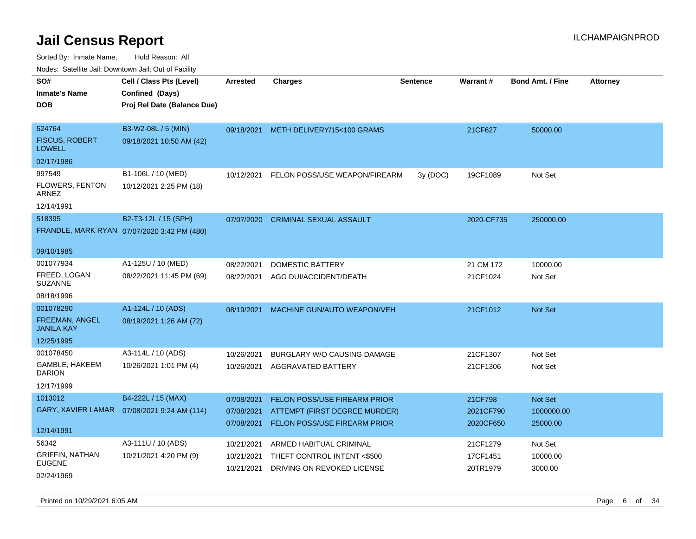Sorted By: Inmate Name, Hold Reason: All Nodes: Satellite Jail; Downtown Jail; Out of Facility

| voues. Saleline Jail, Downtown Jail, Out of Facility |                                             |                 |                                    |                 |            |                         |                 |
|------------------------------------------------------|---------------------------------------------|-----------------|------------------------------------|-----------------|------------|-------------------------|-----------------|
| SO#                                                  | Cell / Class Pts (Level)                    | <b>Arrested</b> | <b>Charges</b>                     | <b>Sentence</b> | Warrant#   | <b>Bond Amt. / Fine</b> | <b>Attorney</b> |
| <b>Inmate's Name</b>                                 | Confined (Days)                             |                 |                                    |                 |            |                         |                 |
| DOB.                                                 | Proj Rel Date (Balance Due)                 |                 |                                    |                 |            |                         |                 |
|                                                      |                                             |                 |                                    |                 |            |                         |                 |
| 524764                                               | B3-W2-08L / 5 (MIN)                         | 09/18/2021      | METH DELIVERY/15<100 GRAMS         |                 | 21CF627    | 50000.00                |                 |
| <b>FISCUS, ROBERT</b><br><b>LOWELL</b>               | 09/18/2021 10:50 AM (42)                    |                 |                                    |                 |            |                         |                 |
| 02/17/1986                                           |                                             |                 |                                    |                 |            |                         |                 |
| 997549                                               | B1-106L / 10 (MED)                          | 10/12/2021      | FELON POSS/USE WEAPON/FIREARM      | 3y (DOC)        | 19CF1089   | Not Set                 |                 |
| FLOWERS, FENTON<br>ARNEZ                             | 10/12/2021 2:25 PM (18)                     |                 |                                    |                 |            |                         |                 |
| 12/14/1991                                           |                                             |                 |                                    |                 |            |                         |                 |
| 518395                                               | B2-T3-12L / 15 (SPH)                        | 07/07/2020      | <b>CRIMINAL SEXUAL ASSAULT</b>     |                 | 2020-CF735 | 250000.00               |                 |
|                                                      | FRANDLE, MARK RYAN 07/07/2020 3:42 PM (480) |                 |                                    |                 |            |                         |                 |
|                                                      |                                             |                 |                                    |                 |            |                         |                 |
| 09/10/1985                                           |                                             |                 |                                    |                 |            |                         |                 |
| 001077934                                            | A1-125U / 10 (MED)                          | 08/22/2021      | DOMESTIC BATTERY                   |                 | 21 CM 172  | 10000.00                |                 |
| FREED, LOGAN<br><b>SUZANNE</b>                       | 08/22/2021 11:45 PM (69)                    | 08/22/2021      | AGG DUI/ACCIDENT/DEATH             |                 | 21CF1024   | Not Set                 |                 |
| 08/18/1996                                           |                                             |                 |                                    |                 |            |                         |                 |
| 001078290                                            | A1-124L / 10 (ADS)                          | 08/19/2021      | <b>MACHINE GUN/AUTO WEAPON/VEH</b> |                 | 21CF1012   | Not Set                 |                 |
| <b>FREEMAN, ANGEL</b><br><b>JANILA KAY</b>           | 08/19/2021 1:26 AM (72)                     |                 |                                    |                 |            |                         |                 |
| 12/25/1995                                           |                                             |                 |                                    |                 |            |                         |                 |
| 001078450                                            | A3-114L / 10 (ADS)                          | 10/26/2021      | <b>BURGLARY W/O CAUSING DAMAGE</b> |                 | 21CF1307   | Not Set                 |                 |
| GAMBLE, HAKEEM<br><b>DARION</b>                      | 10/26/2021 1:01 PM (4)                      | 10/26/2021      | AGGRAVATED BATTERY                 |                 | 21CF1306   | Not Set                 |                 |
| 12/17/1999                                           |                                             |                 |                                    |                 |            |                         |                 |
| 1013012                                              | B4-222L / 15 (MAX)                          | 07/08/2021      | FELON POSS/USE FIREARM PRIOR       |                 | 21CF798    | Not Set                 |                 |
| GARY, XAVIER LAMAR                                   | 07/08/2021 9:24 AM (114)                    | 07/08/2021      | ATTEMPT (FIRST DEGREE MURDER)      |                 | 2021CF790  | 1000000.00              |                 |
|                                                      |                                             | 07/08/2021      | FELON POSS/USE FIREARM PRIOR       |                 | 2020CF650  | 25000.00                |                 |
| 12/14/1991                                           |                                             |                 |                                    |                 |            |                         |                 |
| 56342                                                | A3-111U / 10 (ADS)                          | 10/21/2021      | ARMED HABITUAL CRIMINAL            |                 | 21CF1279   | Not Set                 |                 |
| <b>GRIFFIN, NATHAN</b><br><b>EUGENE</b>              | 10/21/2021 4:20 PM (9)                      | 10/21/2021      | THEFT CONTROL INTENT <\$500        |                 | 17CF1451   | 10000.00                |                 |
| 02/24/1969                                           |                                             | 10/21/2021      | DRIVING ON REVOKED LICENSE         |                 | 20TR1979   | 3000.00                 |                 |

Printed on 10/29/2021 6:05 AM **Page 6** of 34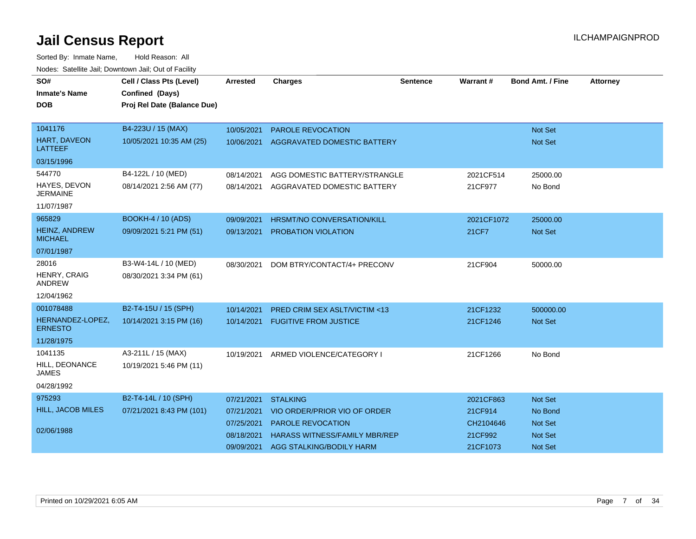| SO#                                    | Cell / Class Pts (Level)    | <b>Arrested</b> | <b>Charges</b>                       | <b>Sentence</b> | Warrant#   | <b>Bond Amt. / Fine</b> | <b>Attorney</b> |
|----------------------------------------|-----------------------------|-----------------|--------------------------------------|-----------------|------------|-------------------------|-----------------|
| <b>Inmate's Name</b>                   | Confined (Days)             |                 |                                      |                 |            |                         |                 |
| <b>DOB</b>                             | Proj Rel Date (Balance Due) |                 |                                      |                 |            |                         |                 |
|                                        |                             |                 |                                      |                 |            |                         |                 |
| 1041176                                | B4-223U / 15 (MAX)          | 10/05/2021      | <b>PAROLE REVOCATION</b>             |                 |            | <b>Not Set</b>          |                 |
| HART, DAVEON<br><b>LATTEEF</b>         | 10/05/2021 10:35 AM (25)    | 10/06/2021      | AGGRAVATED DOMESTIC BATTERY          |                 |            | Not Set                 |                 |
| 03/15/1996                             |                             |                 |                                      |                 |            |                         |                 |
| 544770                                 | B4-122L / 10 (MED)          | 08/14/2021      | AGG DOMESTIC BATTERY/STRANGLE        |                 | 2021CF514  | 25000.00                |                 |
| HAYES, DEVON<br><b>JERMAINE</b>        | 08/14/2021 2:56 AM (77)     | 08/14/2021      | AGGRAVATED DOMESTIC BATTERY          |                 | 21CF977    | No Bond                 |                 |
| 11/07/1987                             |                             |                 |                                      |                 |            |                         |                 |
| 965829                                 | <b>BOOKH-4 / 10 (ADS)</b>   | 09/09/2021      | <b>HRSMT/NO CONVERSATION/KILL</b>    |                 | 2021CF1072 | 25000.00                |                 |
| <b>HEINZ, ANDREW</b><br><b>MICHAEL</b> | 09/09/2021 5:21 PM (51)     | 09/13/2021      | <b>PROBATION VIOLATION</b>           |                 | 21CF7      | <b>Not Set</b>          |                 |
| 07/01/1987                             |                             |                 |                                      |                 |            |                         |                 |
| 28016                                  | B3-W4-14L / 10 (MED)        | 08/30/2021      | DOM BTRY/CONTACT/4+ PRECONV          |                 | 21CF904    | 50000.00                |                 |
| <b>HENRY, CRAIG</b><br><b>ANDREW</b>   | 08/30/2021 3:34 PM (61)     |                 |                                      |                 |            |                         |                 |
| 12/04/1962                             |                             |                 |                                      |                 |            |                         |                 |
| 001078488                              | B2-T4-15U / 15 (SPH)        | 10/14/2021      | PRED CRIM SEX ASLT/VICTIM <13        |                 | 21CF1232   | 500000.00               |                 |
| HERNANDEZ-LOPEZ,<br><b>ERNESTO</b>     | 10/14/2021 3:15 PM (16)     | 10/14/2021      | <b>FUGITIVE FROM JUSTICE</b>         |                 | 21CF1246   | <b>Not Set</b>          |                 |
| 11/28/1975                             |                             |                 |                                      |                 |            |                         |                 |
| 1041135                                | A3-211L / 15 (MAX)          | 10/19/2021      | ARMED VIOLENCE/CATEGORY I            |                 | 21CF1266   | No Bond                 |                 |
| HILL, DEONANCE<br><b>JAMES</b>         | 10/19/2021 5:46 PM (11)     |                 |                                      |                 |            |                         |                 |
| 04/28/1992                             |                             |                 |                                      |                 |            |                         |                 |
| 975293                                 | B2-T4-14L / 10 (SPH)        | 07/21/2021      | <b>STALKING</b>                      |                 | 2021CF863  | Not Set                 |                 |
| HILL, JACOB MILES                      | 07/21/2021 8:43 PM (101)    | 07/21/2021      | VIO ORDER/PRIOR VIO OF ORDER         |                 | 21CF914    | No Bond                 |                 |
|                                        |                             | 07/25/2021      | PAROLE REVOCATION                    |                 | CH2104646  | <b>Not Set</b>          |                 |
| 02/06/1988                             |                             | 08/18/2021      | <b>HARASS WITNESS/FAMILY MBR/REP</b> |                 | 21CF992    | <b>Not Set</b>          |                 |
|                                        |                             | 09/09/2021      | AGG STALKING/BODILY HARM             |                 | 21CF1073   | <b>Not Set</b>          |                 |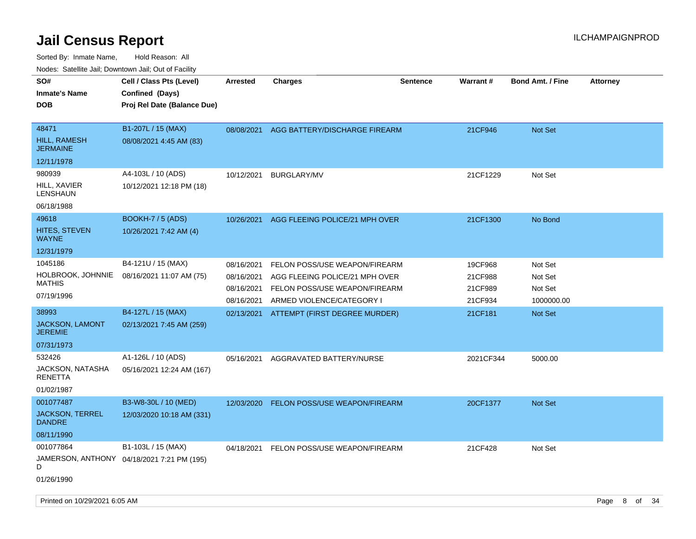| roaco. Catolino dall, Downtown dall, Out of Fability |                                                                            |            |                                |                 |                 |                         |                 |
|------------------------------------------------------|----------------------------------------------------------------------------|------------|--------------------------------|-----------------|-----------------|-------------------------|-----------------|
| SO#<br><b>Inmate's Name</b><br><b>DOB</b>            | Cell / Class Pts (Level)<br>Confined (Days)<br>Proj Rel Date (Balance Due) | Arrested   | Charges                        | <b>Sentence</b> | <b>Warrant#</b> | <b>Bond Amt. / Fine</b> | <b>Attorney</b> |
| 48471<br><b>HILL, RAMESH</b><br><b>JERMAINE</b>      | B1-207L / 15 (MAX)<br>08/08/2021 4:45 AM (83)                              | 08/08/2021 | AGG BATTERY/DISCHARGE FIREARM  |                 | 21CF946         | <b>Not Set</b>          |                 |
| 12/11/1978                                           |                                                                            |            |                                |                 |                 |                         |                 |
| 980939                                               | A4-103L / 10 (ADS)                                                         | 10/12/2021 | <b>BURGLARY/MV</b>             |                 | 21CF1229        | Not Set                 |                 |
| HILL, XAVIER<br>LENSHAUN                             | 10/12/2021 12:18 PM (18)                                                   |            |                                |                 |                 |                         |                 |
| 06/18/1988                                           |                                                                            |            |                                |                 |                 |                         |                 |
| 49618                                                | <b>BOOKH-7 / 5 (ADS)</b>                                                   | 10/26/2021 | AGG FLEEING POLICE/21 MPH OVER |                 | 21CF1300        | No Bond                 |                 |
| HITES, STEVEN<br>WAYNE                               | 10/26/2021 7:42 AM (4)                                                     |            |                                |                 |                 |                         |                 |
| 12/31/1979                                           |                                                                            |            |                                |                 |                 |                         |                 |
| 1045186                                              | B4-121U / 15 (MAX)                                                         | 08/16/2021 | FELON POSS/USE WEAPON/FIREARM  |                 | 19CF968         | Not Set                 |                 |
| HOLBROOK, JOHNNIE<br><b>MATHIS</b>                   | 08/16/2021 11:07 AM (75)                                                   | 08/16/2021 | AGG FLEEING POLICE/21 MPH OVER |                 | 21CF988         | Not Set                 |                 |
| 07/19/1996                                           |                                                                            | 08/16/2021 | FELON POSS/USE WEAPON/FIREARM  |                 | 21CF989         | Not Set                 |                 |
|                                                      |                                                                            | 08/16/2021 | ARMED VIOLENCE/CATEGORY I      |                 | 21CF934         | 1000000.00              |                 |
| 38993                                                | B4-127L / 15 (MAX)                                                         | 02/13/2021 | ATTEMPT (FIRST DEGREE MURDER)  |                 | 21CF181         | <b>Not Set</b>          |                 |
| <b>JACKSON, LAMONT</b><br><b>JEREMIE</b>             | 02/13/2021 7:45 AM (259)                                                   |            |                                |                 |                 |                         |                 |
| 07/31/1973                                           |                                                                            |            |                                |                 |                 |                         |                 |
| 532426                                               | A1-126L / 10 (ADS)                                                         | 05/16/2021 | AGGRAVATED BATTERY/NURSE       |                 | 2021CF344       | 5000.00                 |                 |
| JACKSON, NATASHA<br><b>RENETTA</b>                   | 05/16/2021 12:24 AM (167)                                                  |            |                                |                 |                 |                         |                 |
| 01/02/1987                                           |                                                                            |            |                                |                 |                 |                         |                 |
| 001077487                                            | B3-W8-30L / 10 (MED)                                                       | 12/03/2020 | FELON POSS/USE WEAPON/FIREARM  |                 | 20CF1377        | <b>Not Set</b>          |                 |
| <b>JACKSON, TERREL</b><br><b>DANDRE</b>              | 12/03/2020 10:18 AM (331)                                                  |            |                                |                 |                 |                         |                 |
| 08/11/1990                                           |                                                                            |            |                                |                 |                 |                         |                 |
| 001077864<br>D                                       | B1-103L / 15 (MAX)<br>JAMERSON, ANTHONY 04/18/2021 7:21 PM (195)           | 04/18/2021 | FELON POSS/USE WEAPON/FIREARM  |                 | 21CF428         | Not Set                 |                 |
| 01/26/1990                                           |                                                                            |            |                                |                 |                 |                         |                 |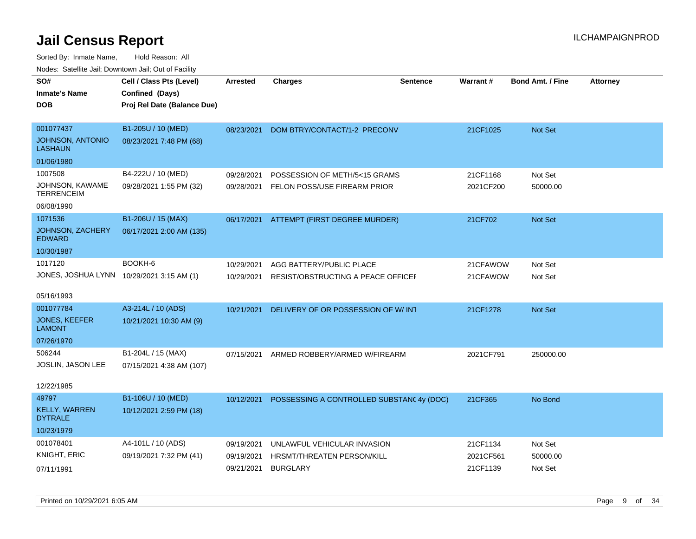| SO#                                       | Cell / Class Pts (Level)    | <b>Arrested</b> | <b>Charges</b>                            | <b>Sentence</b> | <b>Warrant#</b> | <b>Bond Amt. / Fine</b> | <b>Attorney</b> |
|-------------------------------------------|-----------------------------|-----------------|-------------------------------------------|-----------------|-----------------|-------------------------|-----------------|
| <b>Inmate's Name</b>                      | Confined (Days)             |                 |                                           |                 |                 |                         |                 |
| <b>DOB</b>                                | Proj Rel Date (Balance Due) |                 |                                           |                 |                 |                         |                 |
|                                           |                             |                 |                                           |                 |                 |                         |                 |
| 001077437                                 | B1-205U / 10 (MED)          | 08/23/2021      | DOM BTRY/CONTACT/1-2 PRECONV              |                 | 21CF1025        | Not Set                 |                 |
| <b>JOHNSON, ANTONIO</b><br><b>LASHAUN</b> | 08/23/2021 7:48 PM (68)     |                 |                                           |                 |                 |                         |                 |
| 01/06/1980                                |                             |                 |                                           |                 |                 |                         |                 |
| 1007508                                   | B4-222U / 10 (MED)          | 09/28/2021      | POSSESSION OF METH/5<15 GRAMS             |                 | 21CF1168        | Not Set                 |                 |
| JOHNSON, KAWAME<br><b>TERRENCEIM</b>      | 09/28/2021 1:55 PM (32)     | 09/28/2021      | FELON POSS/USE FIREARM PRIOR              |                 | 2021CF200       | 50000.00                |                 |
| 06/08/1990                                |                             |                 |                                           |                 |                 |                         |                 |
| 1071536                                   | B1-206U / 15 (MAX)          | 06/17/2021      | ATTEMPT (FIRST DEGREE MURDER)             |                 | 21CF702         | Not Set                 |                 |
| JOHNSON, ZACHERY<br><b>EDWARD</b>         | 06/17/2021 2:00 AM (135)    |                 |                                           |                 |                 |                         |                 |
| 10/30/1987                                |                             |                 |                                           |                 |                 |                         |                 |
| 1017120                                   | BOOKH-6                     | 10/29/2021      | AGG BATTERY/PUBLIC PLACE                  |                 | 21CFAWOW        | Not Set                 |                 |
| JONES, JOSHUA LYNN 10/29/2021 3:15 AM (1) |                             | 10/29/2021      | RESIST/OBSTRUCTING A PEACE OFFICEI        |                 | 21CFAWOW        | Not Set                 |                 |
| 05/16/1993                                |                             |                 |                                           |                 |                 |                         |                 |
| 001077784                                 |                             |                 |                                           |                 |                 |                         |                 |
|                                           | A3-214L / 10 (ADS)          | 10/21/2021      | DELIVERY OF OR POSSESSION OF W/ INT       |                 | 21CF1278        | Not Set                 |                 |
| <b>JONES, KEEFER</b><br><b>LAMONT</b>     | 10/21/2021 10:30 AM (9)     |                 |                                           |                 |                 |                         |                 |
| 07/26/1970                                |                             |                 |                                           |                 |                 |                         |                 |
| 506244                                    | B1-204L / 15 (MAX)          | 07/15/2021      | ARMED ROBBERY/ARMED W/FIREARM             |                 | 2021CF791       | 250000.00               |                 |
| JOSLIN, JASON LEE                         | 07/15/2021 4:38 AM (107)    |                 |                                           |                 |                 |                         |                 |
|                                           |                             |                 |                                           |                 |                 |                         |                 |
| 12/22/1985                                |                             |                 |                                           |                 |                 |                         |                 |
| 49797                                     | B1-106U / 10 (MED)          | 10/12/2021      | POSSESSING A CONTROLLED SUBSTANC 4y (DOC) |                 | 21CF365         | No Bond                 |                 |
| <b>KELLY, WARREN</b><br><b>DYTRALE</b>    | 10/12/2021 2:59 PM (18)     |                 |                                           |                 |                 |                         |                 |
| 10/23/1979                                |                             |                 |                                           |                 |                 |                         |                 |
| 001078401                                 | A4-101L / 10 (ADS)          | 09/19/2021      | UNLAWFUL VEHICULAR INVASION               |                 | 21CF1134        | Not Set                 |                 |
| KNIGHT, ERIC                              | 09/19/2021 7:32 PM (41)     | 09/19/2021      | HRSMT/THREATEN PERSON/KILL                |                 | 2021CF561       | 50000.00                |                 |
| 07/11/1991                                |                             | 09/21/2021      | <b>BURGLARY</b>                           |                 | 21CF1139        | Not Set                 |                 |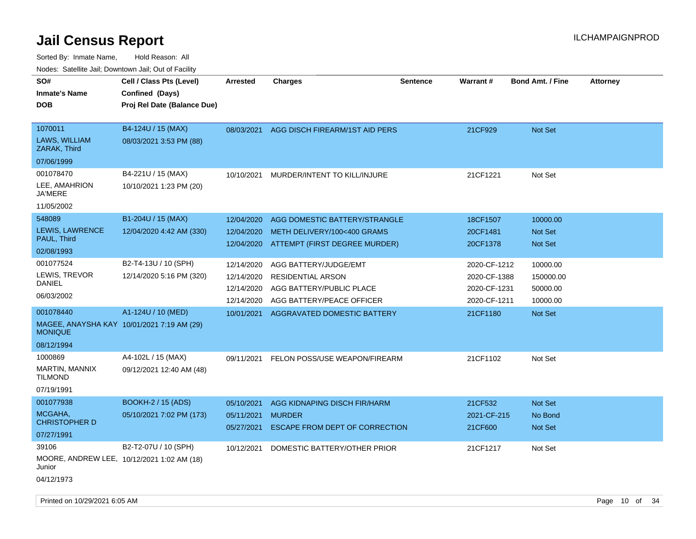| roaco. Calcinio dan, Downtown dan, Oal or Fability |                                                                            |                          |                                                 |                 |                        |                           |                 |
|----------------------------------------------------|----------------------------------------------------------------------------|--------------------------|-------------------------------------------------|-----------------|------------------------|---------------------------|-----------------|
| SO#<br>Inmate's Name<br>DOB                        | Cell / Class Pts (Level)<br>Confined (Days)<br>Proj Rel Date (Balance Due) | Arrested                 | Charges                                         | <b>Sentence</b> | <b>Warrant#</b>        | <b>Bond Amt. / Fine</b>   | <b>Attorney</b> |
| 1070011<br>LAWS, WILLIAM<br>ZARAK, Third           | B4-124U / 15 (MAX)<br>08/03/2021 3:53 PM (88)                              | 08/03/2021               | AGG DISCH FIREARM/1ST AID PERS                  |                 | 21CF929                | <b>Not Set</b>            |                 |
| 07/06/1999                                         |                                                                            |                          |                                                 |                 |                        |                           |                 |
| 001078470                                          | B4-221U / 15 (MAX)                                                         | 10/10/2021               | MURDER/INTENT TO KILL/INJURE                    |                 | 21CF1221               | Not Set                   |                 |
| LEE, AMAHRION<br>JA'MERE                           | 10/10/2021 1:23 PM (20)                                                    |                          |                                                 |                 |                        |                           |                 |
| 11/05/2002                                         |                                                                            |                          |                                                 |                 |                        |                           |                 |
| 548089                                             | B1-204U / 15 (MAX)                                                         | 12/04/2020               | AGG DOMESTIC BATTERY/STRANGLE                   |                 | 18CF1507               | 10000.00                  |                 |
| LEWIS, LAWRENCE                                    | 12/04/2020 4:42 AM (330)                                                   | 12/04/2020               | METH DELIVERY/100<400 GRAMS                     |                 | 20CF1481               | <b>Not Set</b>            |                 |
| PAUL, Third                                        |                                                                            | 12/04/2020               | ATTEMPT (FIRST DEGREE MURDER)                   |                 | 20CF1378               | Not Set                   |                 |
| 02/08/1993                                         |                                                                            |                          |                                                 |                 |                        |                           |                 |
| 001077524                                          | B2-T4-13U / 10 (SPH)                                                       | 12/14/2020               | AGG BATTERY/JUDGE/EMT                           |                 | 2020-CF-1212           | 10000.00                  |                 |
| LEWIS, TREVOR<br>DANIEL                            | 12/14/2020 5:16 PM (320)                                                   | 12/14/2020               | <b>RESIDENTIAL ARSON</b>                        |                 | 2020-CF-1388           | 150000.00                 |                 |
|                                                    |                                                                            | 12/14/2020               | AGG BATTERY/PUBLIC PLACE                        |                 | 2020-CF-1231           | 50000.00                  |                 |
| 06/03/2002                                         |                                                                            | 12/14/2020               | AGG BATTERY/PEACE OFFICER                       |                 | 2020-CF-1211           | 10000.00                  |                 |
| 001078440                                          | A1-124U / 10 (MED)                                                         | 10/01/2021               | AGGRAVATED DOMESTIC BATTERY                     |                 | 21CF1180               | <b>Not Set</b>            |                 |
| <b>MONIQUE</b>                                     | MAGEE, ANAYSHA KAY 10/01/2021 7:19 AM (29)                                 |                          |                                                 |                 |                        |                           |                 |
| 08/12/1994                                         |                                                                            |                          |                                                 |                 |                        |                           |                 |
| 1000869                                            | A4-102L / 15 (MAX)                                                         | 09/11/2021               | FELON POSS/USE WEAPON/FIREARM                   |                 | 21CF1102               | Not Set                   |                 |
| MARTIN, MANNIX<br>Tilmond                          | 09/12/2021 12:40 AM (48)                                                   |                          |                                                 |                 |                        |                           |                 |
| 07/19/1991                                         |                                                                            |                          |                                                 |                 |                        |                           |                 |
| 001077938                                          | <b>BOOKH-2 / 15 (ADS)</b>                                                  | 05/10/2021               | AGG KIDNAPING DISCH FIR/HARM                    |                 | 21CF532                | <b>Not Set</b>            |                 |
| MCGAHA,<br><b>CHRISTOPHER D</b>                    | 05/10/2021 7:02 PM (173)                                                   | 05/11/2021<br>05/27/2021 | <b>MURDER</b><br>ESCAPE FROM DEPT OF CORRECTION |                 | 2021-CF-215<br>21CF600 | No Bond<br><b>Not Set</b> |                 |
| 07/27/1991                                         |                                                                            |                          |                                                 |                 |                        |                           |                 |
| 39106                                              | B2-T2-07U / 10 (SPH)                                                       | 10/12/2021               | DOMESTIC BATTERY/OTHER PRIOR                    |                 | 21CF1217               | Not Set                   |                 |
| Junior                                             | MOORE, ANDREW LEE, 10/12/2021 1:02 AM (18)                                 |                          |                                                 |                 |                        |                           |                 |
| 04/12/1973                                         |                                                                            |                          |                                                 |                 |                        |                           |                 |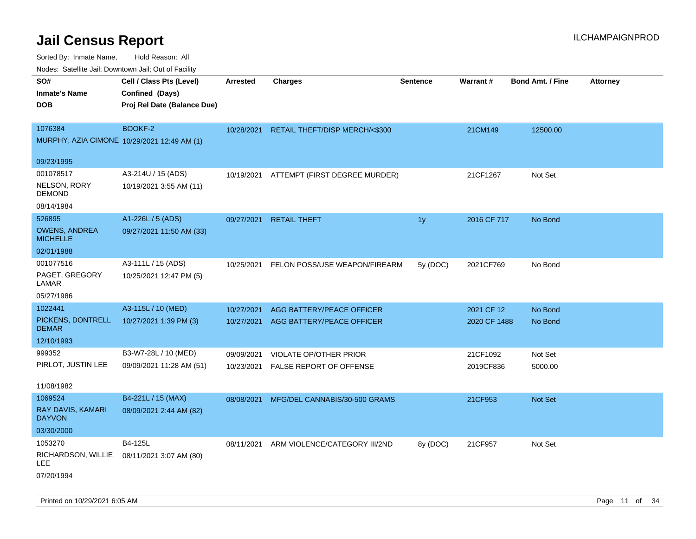Sorted By: Inmate Name, Hold Reason: All Nodes: Satellite Jail; Downtown Jail; Out of Facility

| ivodes. Satellite Jali, Downtown Jali, Out of Facility |                             |                 |                                           |                 |              |                         |                 |
|--------------------------------------------------------|-----------------------------|-----------------|-------------------------------------------|-----------------|--------------|-------------------------|-----------------|
| SO#                                                    | Cell / Class Pts (Level)    | <b>Arrested</b> | <b>Charges</b>                            | <b>Sentence</b> | Warrant#     | <b>Bond Amt. / Fine</b> | <b>Attorney</b> |
| Inmate's Name                                          | Confined (Days)             |                 |                                           |                 |              |                         |                 |
| <b>DOB</b>                                             | Proj Rel Date (Balance Due) |                 |                                           |                 |              |                         |                 |
|                                                        |                             |                 |                                           |                 |              |                         |                 |
| 1076384                                                | BOOKF-2                     |                 | 10/28/2021 RETAIL THEFT/DISP MERCH/<\$300 |                 | 21CM149      | 12500.00                |                 |
| MURPHY, AZIA CIMONE 10/29/2021 12:49 AM (1)            |                             |                 |                                           |                 |              |                         |                 |
| 09/23/1995                                             |                             |                 |                                           |                 |              |                         |                 |
| 001078517                                              | A3-214U / 15 (ADS)          | 10/19/2021      | ATTEMPT (FIRST DEGREE MURDER)             |                 | 21CF1267     | Not Set                 |                 |
| NELSON, RORY<br>DEMOND                                 | 10/19/2021 3:55 AM (11)     |                 |                                           |                 |              |                         |                 |
| 08/14/1984                                             |                             |                 |                                           |                 |              |                         |                 |
| 526895                                                 | A1-226L / 5 (ADS)           | 09/27/2021      | <b>RETAIL THEFT</b>                       | 1y              | 2016 CF 717  | No Bond                 |                 |
| <b>OWENS, ANDREA</b><br><b>MICHELLE</b>                | 09/27/2021 11:50 AM (33)    |                 |                                           |                 |              |                         |                 |
| 02/01/1988                                             |                             |                 |                                           |                 |              |                         |                 |
| 001077516                                              | A3-111L / 15 (ADS)          | 10/25/2021      | FELON POSS/USE WEAPON/FIREARM             | 5y (DOC)        | 2021CF769    | No Bond                 |                 |
| PAGET, GREGORY<br>LAMAR                                | 10/25/2021 12:47 PM (5)     |                 |                                           |                 |              |                         |                 |
| 05/27/1986                                             |                             |                 |                                           |                 |              |                         |                 |
| 1022441                                                | A3-115L / 10 (MED)          | 10/27/2021      | AGG BATTERY/PEACE OFFICER                 |                 | 2021 CF 12   | No Bond                 |                 |
| PICKENS, DONTRELL<br><b>DEMAR</b>                      | 10/27/2021 1:39 PM (3)      | 10/27/2021      | AGG BATTERY/PEACE OFFICER                 |                 | 2020 CF 1488 | No Bond                 |                 |
| 12/10/1993                                             |                             |                 |                                           |                 |              |                         |                 |
| 999352                                                 | B3-W7-28L / 10 (MED)        | 09/09/2021      | VIOLATE OP/OTHER PRIOR                    |                 | 21CF1092     | Not Set                 |                 |
| PIRLOT, JUSTIN LEE                                     | 09/09/2021 11:28 AM (51)    | 10/23/2021      | <b>FALSE REPORT OF OFFENSE</b>            |                 | 2019CF836    | 5000.00                 |                 |
|                                                        |                             |                 |                                           |                 |              |                         |                 |
| 11/08/1982                                             |                             |                 |                                           |                 |              |                         |                 |
| 1069524                                                | B4-221L / 15 (MAX)          | 08/08/2021      | MFG/DEL CANNABIS/30-500 GRAMS             |                 | 21CF953      | <b>Not Set</b>          |                 |
| RAY DAVIS, KAMARI<br><b>DAYVON</b>                     | 08/09/2021 2:44 AM (82)     |                 |                                           |                 |              |                         |                 |
| 03/30/2000                                             |                             |                 |                                           |                 |              |                         |                 |
| 1053270                                                | B4-125L                     | 08/11/2021      | ARM VIOLENCE/CATEGORY III/2ND             | 8y (DOC)        | 21CF957      | Not Set                 |                 |
| RICHARDSON, WILLIE<br>LEE                              | 08/11/2021 3:07 AM (80)     |                 |                                           |                 |              |                         |                 |
| 07/20/1994                                             |                             |                 |                                           |                 |              |                         |                 |

Printed on 10/29/2021 6:05 AM **Page 11 of 34** Page 11 of 34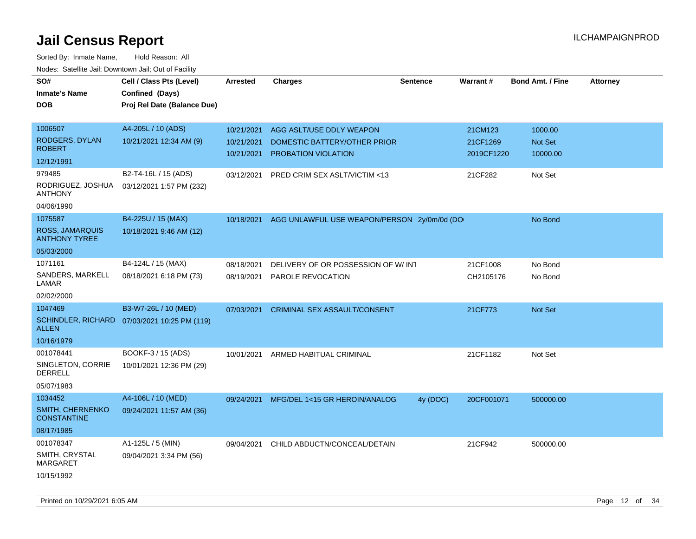| SO#<br>Inmate's Name<br><b>DOB</b>             | Cell / Class Pts (Level)<br>Confined (Days)<br>Proj Rel Date (Balance Due) | <b>Arrested</b>          | <b>Charges</b>                                      | <b>Sentence</b> | Warrant#               | <b>Bond Amt. / Fine</b>    | <b>Attorney</b> |
|------------------------------------------------|----------------------------------------------------------------------------|--------------------------|-----------------------------------------------------|-----------------|------------------------|----------------------------|-----------------|
| 1006507                                        | A4-205L / 10 (ADS)                                                         | 10/21/2021               | AGG ASLT/USE DDLY WEAPON                            |                 | 21CM123                | 1000.00                    |                 |
| RODGERS, DYLAN<br><b>ROBERT</b>                | 10/21/2021 12:34 AM (9)                                                    | 10/21/2021<br>10/21/2021 | DOMESTIC BATTERY/OTHER PRIOR<br>PROBATION VIOLATION |                 | 21CF1269<br>2019CF1220 | <b>Not Set</b><br>10000.00 |                 |
| 12/12/1991                                     |                                                                            |                          |                                                     |                 |                        |                            |                 |
| 979485                                         | B2-T4-16L / 15 (ADS)                                                       | 03/12/2021               | PRED CRIM SEX ASLT/VICTIM <13                       |                 | 21CF282                | Not Set                    |                 |
| RODRIGUEZ, JOSHUA<br><b>ANTHONY</b>            | 03/12/2021 1:57 PM (232)                                                   |                          |                                                     |                 |                        |                            |                 |
| 04/06/1990                                     |                                                                            |                          |                                                     |                 |                        |                            |                 |
| 1075587                                        | B4-225U / 15 (MAX)                                                         | 10/18/2021               | AGG UNLAWFUL USE WEAPON/PERSON 2y/0m/0d (DO         |                 |                        | No Bond                    |                 |
| <b>ROSS, JAMARQUIS</b><br><b>ANTHONY TYREE</b> | 10/18/2021 9:46 AM (12)                                                    |                          |                                                     |                 |                        |                            |                 |
| 05/03/2000                                     |                                                                            |                          |                                                     |                 |                        |                            |                 |
| 1071161                                        | B4-124L / 15 (MAX)                                                         | 08/18/2021               | DELIVERY OF OR POSSESSION OF W/INT                  |                 | 21CF1008               | No Bond                    |                 |
| SANDERS, MARKELL<br>LAMAR                      | 08/18/2021 6:18 PM (73)                                                    | 08/19/2021               | PAROLE REVOCATION                                   |                 | CH2105176              | No Bond                    |                 |
| 02/02/2000                                     |                                                                            |                          |                                                     |                 |                        |                            |                 |
| 1047469                                        | B3-W7-26L / 10 (MED)                                                       | 07/03/2021               | <b>CRIMINAL SEX ASSAULT/CONSENT</b>                 |                 | 21CF773                | Not Set                    |                 |
| <b>ALLEN</b>                                   | SCHINDLER, RICHARD 07/03/2021 10:25 PM (119)                               |                          |                                                     |                 |                        |                            |                 |
| 10/16/1979                                     |                                                                            |                          |                                                     |                 |                        |                            |                 |
| 001078441                                      | BOOKF-3 / 15 (ADS)                                                         | 10/01/2021               | ARMED HABITUAL CRIMINAL                             |                 | 21CF1182               | Not Set                    |                 |
| SINGLETON, CORRIE<br>DERRELL                   | 10/01/2021 12:36 PM (29)                                                   |                          |                                                     |                 |                        |                            |                 |
| 05/07/1983                                     |                                                                            |                          |                                                     |                 |                        |                            |                 |
| 1034452                                        | A4-106L / 10 (MED)                                                         | 09/24/2021               | MFG/DEL 1<15 GR HEROIN/ANALOG                       | 4y (DOC)        | 20CF001071             | 500000.00                  |                 |
| <b>SMITH, CHERNENKO</b><br><b>CONSTANTINE</b>  | 09/24/2021 11:57 AM (36)                                                   |                          |                                                     |                 |                        |                            |                 |
| 08/17/1985                                     |                                                                            |                          |                                                     |                 |                        |                            |                 |
| 001078347                                      | A1-125L / 5 (MIN)                                                          | 09/04/2021               | CHILD ABDUCTN/CONCEAL/DETAIN                        |                 | 21CF942                | 500000.00                  |                 |
| SMITH, CRYSTAL<br><b>MARGARET</b>              | 09/04/2021 3:34 PM (56)                                                    |                          |                                                     |                 |                        |                            |                 |
| 10/15/1992                                     |                                                                            |                          |                                                     |                 |                        |                            |                 |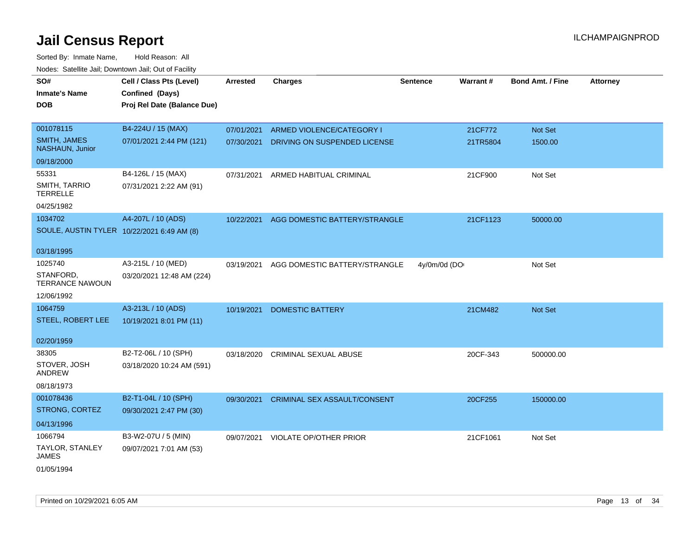| SO#<br><b>Inmate's Name</b>                | Cell / Class Pts (Level)<br>Confined (Days) | <b>Arrested</b> | <b>Charges</b>                      | <b>Sentence</b> | Warrant# | <b>Bond Amt. / Fine</b> | <b>Attorney</b> |
|--------------------------------------------|---------------------------------------------|-----------------|-------------------------------------|-----------------|----------|-------------------------|-----------------|
| DOB                                        | Proj Rel Date (Balance Due)                 |                 |                                     |                 |          |                         |                 |
| 001078115                                  | B4-224U / 15 (MAX)                          | 07/01/2021      | ARMED VIOLENCE/CATEGORY I           |                 | 21CF772  | Not Set                 |                 |
| <b>SMITH, JAMES</b><br>NASHAUN, Junior     | 07/01/2021 2:44 PM (121)                    | 07/30/2021      | DRIVING ON SUSPENDED LICENSE        |                 | 21TR5804 | 1500.00                 |                 |
| 09/18/2000                                 |                                             |                 |                                     |                 |          |                         |                 |
| 55331                                      | B4-126L / 15 (MAX)                          | 07/31/2021      | ARMED HABITUAL CRIMINAL             |                 | 21CF900  | Not Set                 |                 |
| SMITH, TARRIO<br><b>TERRELLE</b>           | 07/31/2021 2:22 AM (91)                     |                 |                                     |                 |          |                         |                 |
| 04/25/1982                                 |                                             |                 |                                     |                 |          |                         |                 |
| 1034702                                    | A4-207L / 10 (ADS)                          | 10/22/2021      | AGG DOMESTIC BATTERY/STRANGLE       |                 | 21CF1123 | 50000.00                |                 |
| SOULE, AUSTIN TYLER 10/22/2021 6:49 AM (8) |                                             |                 |                                     |                 |          |                         |                 |
| 03/18/1995                                 |                                             |                 |                                     |                 |          |                         |                 |
| 1025740                                    | A3-215L / 10 (MED)                          | 03/19/2021      | AGG DOMESTIC BATTERY/STRANGLE       | 4y/0m/0d (DO    |          | Not Set                 |                 |
| STANFORD,<br><b>TERRANCE NAWOUN</b>        | 03/20/2021 12:48 AM (224)                   |                 |                                     |                 |          |                         |                 |
| 12/06/1992                                 |                                             |                 |                                     |                 |          |                         |                 |
| 1064759                                    | A3-213L / 10 (ADS)                          | 10/19/2021      | <b>DOMESTIC BATTERY</b>             |                 | 21CM482  | Not Set                 |                 |
| STEEL, ROBERT LEE                          | 10/19/2021 8:01 PM (11)                     |                 |                                     |                 |          |                         |                 |
| 02/20/1959                                 |                                             |                 |                                     |                 |          |                         |                 |
| 38305                                      | B2-T2-06L / 10 (SPH)                        | 03/18/2020      | <b>CRIMINAL SEXUAL ABUSE</b>        |                 | 20CF-343 | 500000.00               |                 |
| STOVER, JOSH<br>ANDREW                     | 03/18/2020 10:24 AM (591)                   |                 |                                     |                 |          |                         |                 |
| 08/18/1973                                 |                                             |                 |                                     |                 |          |                         |                 |
| 001078436                                  | B2-T1-04L / 10 (SPH)                        | 09/30/2021      | <b>CRIMINAL SEX ASSAULT/CONSENT</b> |                 | 20CF255  | 150000.00               |                 |
| STRONG, CORTEZ                             | 09/30/2021 2:47 PM (30)                     |                 |                                     |                 |          |                         |                 |
| 04/13/1996                                 |                                             |                 |                                     |                 |          |                         |                 |
| 1066794                                    | B3-W2-07U / 5 (MIN)                         | 09/07/2021      | <b>VIOLATE OP/OTHER PRIOR</b>       |                 | 21CF1061 | Not Set                 |                 |
| TAYLOR, STANLEY<br>JAMES                   | 09/07/2021 7:01 AM (53)                     |                 |                                     |                 |          |                         |                 |
| 01/05/1994                                 |                                             |                 |                                     |                 |          |                         |                 |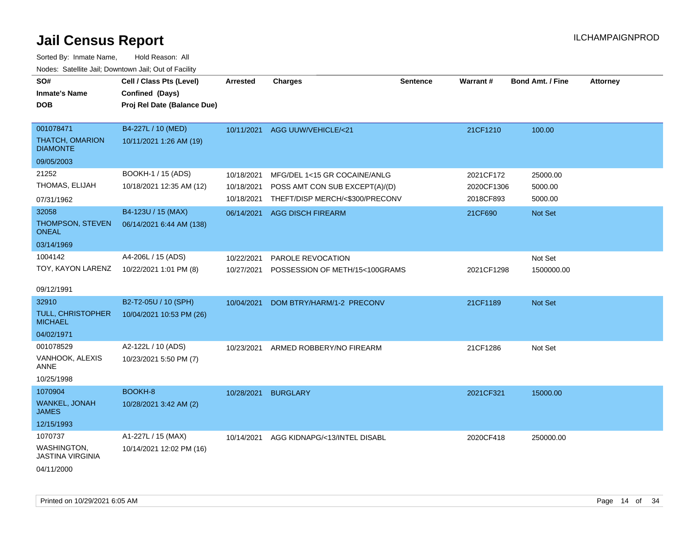| SO#<br><b>Inmate's Name</b><br><b>DOB</b>                       | Cell / Class Pts (Level)<br>Confined (Days)<br>Proj Rel Date (Balance Due) | <b>Arrested</b>                        | <b>Charges</b>                                                                                    | <b>Sentence</b> | Warrant#                             | <b>Bond Amt. / Fine</b>        | <b>Attorney</b> |
|-----------------------------------------------------------------|----------------------------------------------------------------------------|----------------------------------------|---------------------------------------------------------------------------------------------------|-----------------|--------------------------------------|--------------------------------|-----------------|
| 001078471<br><b>THATCH, OMARION</b><br><b>DIAMONTE</b>          | B4-227L / 10 (MED)<br>10/11/2021 1:26 AM (19)                              | 10/11/2021                             | AGG UUW/VEHICLE/<21                                                                               |                 | 21CF1210                             | 100.00                         |                 |
| 09/05/2003                                                      |                                                                            |                                        |                                                                                                   |                 |                                      |                                |                 |
| 21252<br>THOMAS, ELIJAH<br>07/31/1962                           | BOOKH-1 / 15 (ADS)<br>10/18/2021 12:35 AM (12)                             | 10/18/2021<br>10/18/2021<br>10/18/2021 | MFG/DEL 1<15 GR COCAINE/ANLG<br>POSS AMT CON SUB EXCEPT(A)/(D)<br>THEFT/DISP MERCH/<\$300/PRECONV |                 | 2021CF172<br>2020CF1306<br>2018CF893 | 25000.00<br>5000.00<br>5000.00 |                 |
| 32058<br>THOMPSON, STEVEN<br><b>ONEAL</b><br>03/14/1969         | B4-123U / 15 (MAX)<br>06/14/2021 6:44 AM (138)                             | 06/14/2021                             | <b>AGG DISCH FIREARM</b>                                                                          |                 | 21CF690                              | Not Set                        |                 |
| 1004142<br>TOY, KAYON LARENZ<br>09/12/1991                      | A4-206L / 15 (ADS)<br>10/22/2021 1:01 PM (8)                               | 10/22/2021<br>10/27/2021               | PAROLE REVOCATION<br>POSSESSION OF METH/15<100GRAMS                                               |                 | 2021CF1298                           | Not Set<br>1500000.00          |                 |
| 32910<br>TULL, CHRISTOPHER<br><b>MICHAEL</b><br>04/02/1971      | B2-T2-05U / 10 (SPH)<br>10/04/2021 10:53 PM (26)                           | 10/04/2021                             | DOM BTRY/HARM/1-2 PRECONV                                                                         |                 | 21CF1189                             | Not Set                        |                 |
| 001078529<br>VANHOOK, ALEXIS<br>ANNE<br>10/25/1998              | A2-122L / 10 (ADS)<br>10/23/2021 5:50 PM (7)                               | 10/23/2021                             | ARMED ROBBERY/NO FIREARM                                                                          |                 | 21CF1286                             | Not Set                        |                 |
| 1070904<br><b>WANKEL, JONAH</b><br><b>JAMES</b><br>12/15/1993   | BOOKH-8<br>10/28/2021 3:42 AM (2)                                          | 10/28/2021                             | <b>BURGLARY</b>                                                                                   |                 | 2021CF321                            | 15000.00                       |                 |
| 1070737<br>WASHINGTON,<br><b>JASTINA VIRGINIA</b><br>04/11/2000 | A1-227L / 15 (MAX)<br>10/14/2021 12:02 PM (16)                             | 10/14/2021                             | AGG KIDNAPG/<13/INTEL DISABL                                                                      |                 | 2020CF418                            | 250000.00                      |                 |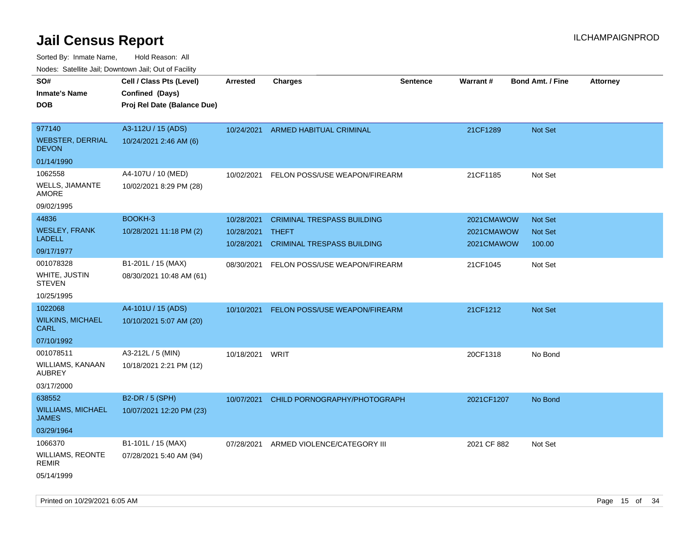| SO#                                      | Cell / Class Pts (Level)    | <b>Arrested</b> | <b>Charges</b>                    | <b>Sentence</b> | <b>Warrant#</b> | <b>Bond Amt. / Fine</b> | <b>Attorney</b> |
|------------------------------------------|-----------------------------|-----------------|-----------------------------------|-----------------|-----------------|-------------------------|-----------------|
| <b>Inmate's Name</b>                     | Confined (Days)             |                 |                                   |                 |                 |                         |                 |
| <b>DOB</b>                               | Proj Rel Date (Balance Due) |                 |                                   |                 |                 |                         |                 |
|                                          |                             |                 |                                   |                 |                 |                         |                 |
| 977140                                   | A3-112U / 15 (ADS)          | 10/24/2021      | ARMED HABITUAL CRIMINAL           |                 | 21CF1289        | <b>Not Set</b>          |                 |
| <b>WEBSTER, DERRIAL</b><br><b>DEVON</b>  | 10/24/2021 2:46 AM (6)      |                 |                                   |                 |                 |                         |                 |
| 01/14/1990                               |                             |                 |                                   |                 |                 |                         |                 |
| 1062558                                  | A4-107U / 10 (MED)          | 10/02/2021      | FELON POSS/USE WEAPON/FIREARM     |                 | 21CF1185        | Not Set                 |                 |
| WELLS, JIAMANTE<br><b>AMORE</b>          | 10/02/2021 8:29 PM (28)     |                 |                                   |                 |                 |                         |                 |
| 09/02/1995                               |                             |                 |                                   |                 |                 |                         |                 |
| 44836                                    | BOOKH-3                     | 10/28/2021      | <b>CRIMINAL TRESPASS BUILDING</b> |                 | 2021CMAWOW      | <b>Not Set</b>          |                 |
| <b>WESLEY, FRANK</b>                     | 10/28/2021 11:18 PM (2)     | 10/28/2021      | <b>THEFT</b>                      |                 | 2021CMAWOW      | Not Set                 |                 |
| <b>LADELL</b>                            |                             | 10/28/2021      | <b>CRIMINAL TRESPASS BUILDING</b> |                 | 2021CMAWOW      | 100.00                  |                 |
| 09/17/1977                               |                             |                 |                                   |                 |                 |                         |                 |
| 001078328                                | B1-201L / 15 (MAX)          | 08/30/2021      | FELON POSS/USE WEAPON/FIREARM     |                 | 21CF1045        | Not Set                 |                 |
| WHITE, JUSTIN<br><b>STEVEN</b>           | 08/30/2021 10:48 AM (61)    |                 |                                   |                 |                 |                         |                 |
| 10/25/1995                               |                             |                 |                                   |                 |                 |                         |                 |
| 1022068                                  | A4-101U / 15 (ADS)          | 10/10/2021      | FELON POSS/USE WEAPON/FIREARM     |                 | 21CF1212        | Not Set                 |                 |
| <b>WILKINS, MICHAEL</b><br>CARL          | 10/10/2021 5:07 AM (20)     |                 |                                   |                 |                 |                         |                 |
| 07/10/1992                               |                             |                 |                                   |                 |                 |                         |                 |
| 001078511                                | A3-212L / 5 (MIN)           | 10/18/2021      | WRIT                              |                 | 20CF1318        | No Bond                 |                 |
| WILLIAMS, KANAAN<br><b>AUBREY</b>        | 10/18/2021 2:21 PM (12)     |                 |                                   |                 |                 |                         |                 |
| 03/17/2000                               |                             |                 |                                   |                 |                 |                         |                 |
| 638552                                   | B2-DR / 5 (SPH)             | 10/07/2021      | CHILD PORNOGRAPHY/PHOTOGRAPH      |                 | 2021CF1207      | No Bond                 |                 |
| <b>WILLIAMS, MICHAEL</b><br><b>JAMES</b> | 10/07/2021 12:20 PM (23)    |                 |                                   |                 |                 |                         |                 |
| 03/29/1964                               |                             |                 |                                   |                 |                 |                         |                 |
| 1066370                                  | B1-101L / 15 (MAX)          | 07/28/2021      | ARMED VIOLENCE/CATEGORY III       |                 | 2021 CF 882     | Not Set                 |                 |
| <b>WILLIAMS, REONTE</b><br><b>REMIR</b>  | 07/28/2021 5:40 AM (94)     |                 |                                   |                 |                 |                         |                 |
| 05/14/1999                               |                             |                 |                                   |                 |                 |                         |                 |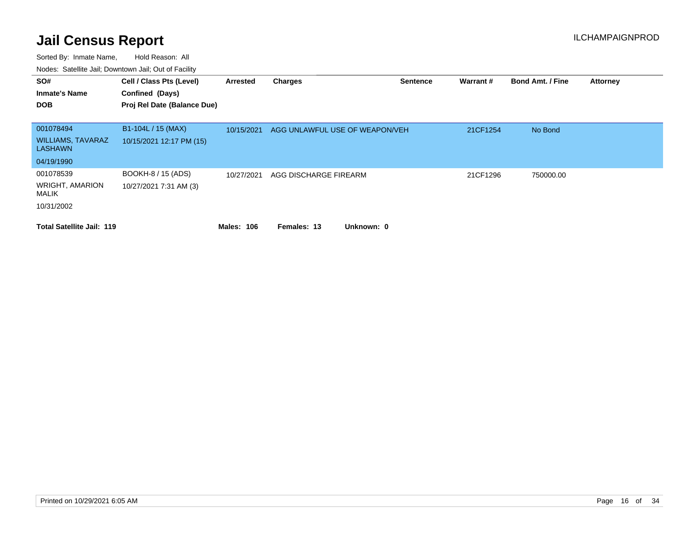| SO#<br><b>Inmate's Name</b><br><b>DOB</b>                  | Cell / Class Pts (Level)<br>Confined (Days)<br>Proj Rel Date (Balance Due) | Arrested   | <b>Charges</b>                 | <b>Sentence</b> | Warrant# | <b>Bond Amt. / Fine</b> | <b>Attorney</b> |
|------------------------------------------------------------|----------------------------------------------------------------------------|------------|--------------------------------|-----------------|----------|-------------------------|-----------------|
| 001078494<br><b>WILLIAMS, TAVARAZ</b><br><b>LASHAWN</b>    | B1-104L / 15 (MAX)<br>10/15/2021 12:17 PM (15)                             | 10/15/2021 | AGG UNLAWFUL USE OF WEAPON/VEH |                 | 21CF1254 | No Bond                 |                 |
| 04/19/1990                                                 |                                                                            |            |                                |                 |          |                         |                 |
| 001078539<br><b>WRIGHT, AMARION</b><br>MALIK<br>10/31/2002 | BOOKH-8 / 15 (ADS)<br>10/27/2021 7:31 AM (3)                               | 10/27/2021 | AGG DISCHARGE FIREARM          |                 | 21CF1296 | 750000.00               |                 |
| <b>Total Satellite Jail: 119</b>                           |                                                                            | Males: 106 | Unknown: 0<br>Females: 13      |                 |          |                         |                 |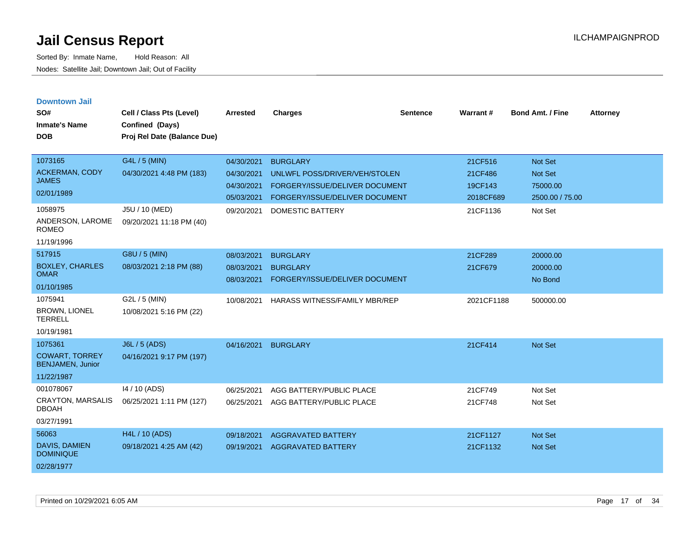| <b>Downtown Jail</b><br>SO#<br><b>Inmate's Name</b><br><b>DOB</b>         | Cell / Class Pts (Level)<br>Confined (Days)<br>Proj Rel Date (Balance Due) | <b>Arrested</b>                                                    | <b>Charges</b>                                                                                                                                  | <b>Sentence</b> | Warrant#                                               | <b>Bond Amt. / Fine</b>                                             | <b>Attorney</b> |
|---------------------------------------------------------------------------|----------------------------------------------------------------------------|--------------------------------------------------------------------|-------------------------------------------------------------------------------------------------------------------------------------------------|-----------------|--------------------------------------------------------|---------------------------------------------------------------------|-----------------|
| 1073165<br><b>ACKERMAN, CODY</b><br><b>JAMES</b><br>02/01/1989<br>1058975 | G4L / 5 (MIN)<br>04/30/2021 4:48 PM (183)<br>J5U / 10 (MED)                | 04/30/2021<br>04/30/2021<br>04/30/2021<br>05/03/2021<br>09/20/2021 | <b>BURGLARY</b><br>UNLWFL POSS/DRIVER/VEH/STOLEN<br>FORGERY/ISSUE/DELIVER DOCUMENT<br>FORGERY/ISSUE/DELIVER DOCUMENT<br><b>DOMESTIC BATTERY</b> |                 | 21CF516<br>21CF486<br>19CF143<br>2018CF689<br>21CF1136 | Not Set<br><b>Not Set</b><br>75000.00<br>2500.00 / 75.00<br>Not Set |                 |
| ANDERSON, LAROME<br><b>ROMEO</b><br>11/19/1996                            | 09/20/2021 11:18 PM (40)                                                   |                                                                    |                                                                                                                                                 |                 |                                                        |                                                                     |                 |
| 517915<br><b>BOXLEY, CHARLES</b><br><b>OMAR</b><br>01/10/1985             | G8U / 5 (MIN)<br>08/03/2021 2:18 PM (88)                                   | 08/03/2021<br>08/03/2021<br>08/03/2021                             | <b>BURGLARY</b><br><b>BURGLARY</b><br>FORGERY/ISSUE/DELIVER DOCUMENT                                                                            |                 | 21CF289<br>21CF679                                     | 20000.00<br>20000.00<br>No Bond                                     |                 |
| 1075941<br><b>BROWN, LIONEL</b><br><b>TERRELL</b><br>10/19/1981           | G2L / 5 (MIN)<br>10/08/2021 5:16 PM (22)                                   | 10/08/2021                                                         | HARASS WITNESS/FAMILY MBR/REP                                                                                                                   |                 | 2021CF1188                                             | 500000.00                                                           |                 |
| 1075361<br><b>COWART, TORREY</b><br><b>BENJAMEN, Junior</b><br>11/22/1987 | J6L / 5 (ADS)<br>04/16/2021 9:17 PM (197)                                  | 04/16/2021                                                         | <b>BURGLARY</b>                                                                                                                                 |                 | 21CF414                                                | Not Set                                                             |                 |
| 001078067<br><b>CRAYTON, MARSALIS</b><br><b>DBOAH</b><br>03/27/1991       | 14 / 10 (ADS)<br>06/25/2021 1:11 PM (127)                                  | 06/25/2021<br>06/25/2021                                           | AGG BATTERY/PUBLIC PLACE<br>AGG BATTERY/PUBLIC PLACE                                                                                            |                 | 21CF749<br>21CF748                                     | Not Set<br>Not Set                                                  |                 |
| 56063<br>DAVIS, DAMIEN<br><b>DOMINIQUE</b><br>02/28/1977                  | H4L / 10 (ADS)<br>09/18/2021 4:25 AM (42)                                  | 09/18/2021<br>09/19/2021                                           | <b>AGGRAVATED BATTERY</b><br><b>AGGRAVATED BATTERY</b>                                                                                          |                 | 21CF1127<br>21CF1132                                   | <b>Not Set</b><br><b>Not Set</b>                                    |                 |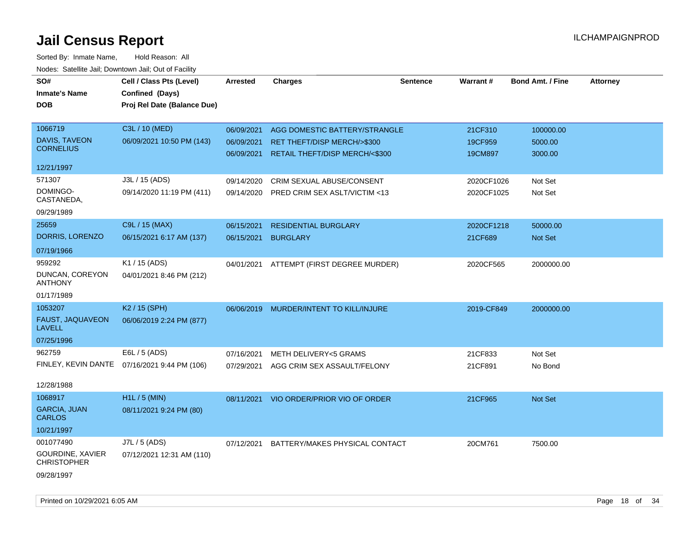| SO#<br><b>Inmate's Name</b><br>DOB                  | Cell / Class Pts (Level)<br>Confined (Days)<br>Proj Rel Date (Balance Due) | Arrested                 | <b>Charges</b>                                                | <b>Sentence</b> | <b>Warrant#</b>    | <b>Bond Amt. / Fine</b> | <b>Attorney</b> |
|-----------------------------------------------------|----------------------------------------------------------------------------|--------------------------|---------------------------------------------------------------|-----------------|--------------------|-------------------------|-----------------|
| 1066719                                             | C3L / 10 (MED)                                                             | 06/09/2021               | AGG DOMESTIC BATTERY/STRANGLE                                 |                 | 21CF310            | 100000.00               |                 |
| <b>DAVIS, TAVEON</b><br><b>CORNELIUS</b>            | 06/09/2021 10:50 PM (143)                                                  | 06/09/2021<br>06/09/2021 | RET THEFT/DISP MERCH/>\$300<br>RETAIL THEFT/DISP MERCH/<\$300 |                 | 19CF959<br>19CM897 | 5000.00<br>3000.00      |                 |
| 12/21/1997                                          |                                                                            |                          |                                                               |                 |                    |                         |                 |
| 571307                                              | J3L / 15 (ADS)                                                             | 09/14/2020               | CRIM SEXUAL ABUSE/CONSENT                                     |                 | 2020CF1026         | Not Set                 |                 |
| DOMINGO-<br>CASTANEDA.                              | 09/14/2020 11:19 PM (411)                                                  | 09/14/2020               | PRED CRIM SEX ASLT/VICTIM <13                                 |                 | 2020CF1025         | Not Set                 |                 |
| 09/29/1989                                          |                                                                            |                          |                                                               |                 |                    |                         |                 |
| 25659                                               | C9L / 15 (MAX)                                                             | 06/15/2021               | <b>RESIDENTIAL BURGLARY</b>                                   |                 | 2020CF1218         | 50000.00                |                 |
| DORRIS, LORENZO                                     | 06/15/2021 6:17 AM (137)                                                   | 06/15/2021               | <b>BURGLARY</b>                                               |                 | 21CF689            | Not Set                 |                 |
| 07/19/1966                                          |                                                                            |                          |                                                               |                 |                    |                         |                 |
| 959292<br>DUNCAN, COREYON<br><b>ANTHONY</b>         | K1 / 15 (ADS)<br>04/01/2021 8:46 PM (212)                                  | 04/01/2021               | ATTEMPT (FIRST DEGREE MURDER)                                 |                 | 2020CF565          | 2000000.00              |                 |
| 01/17/1989                                          |                                                                            |                          |                                                               |                 |                    |                         |                 |
| 1053207                                             | K2 / 15 (SPH)                                                              | 06/06/2019               | MURDER/INTENT TO KILL/INJURE                                  |                 | 2019-CF849         | 2000000.00              |                 |
| FAUST, JAQUAVEON<br><b>LAVELL</b>                   | 06/06/2019 2:24 PM (877)                                                   |                          |                                                               |                 |                    |                         |                 |
| 07/25/1996                                          |                                                                            |                          |                                                               |                 |                    |                         |                 |
| 962759                                              | E6L / 5 (ADS)                                                              | 07/16/2021               | <b>METH DELIVERY&lt;5 GRAMS</b>                               |                 | 21CF833            | Not Set                 |                 |
|                                                     | FINLEY, KEVIN DANTE 07/16/2021 9:44 PM (106)                               | 07/29/2021               | AGG CRIM SEX ASSAULT/FELONY                                   |                 | 21CF891            | No Bond                 |                 |
| 12/28/1988                                          |                                                                            |                          |                                                               |                 |                    |                         |                 |
| 1068917                                             | H1L / 5 (MIN)                                                              | 08/11/2021               | VIO ORDER/PRIOR VIO OF ORDER                                  |                 | 21CF965            | Not Set                 |                 |
| <b>GARCIA, JUAN</b><br><b>CARLOS</b>                | 08/11/2021 9:24 PM (80)                                                    |                          |                                                               |                 |                    |                         |                 |
| 10/21/1997                                          |                                                                            |                          |                                                               |                 |                    |                         |                 |
| 001077490<br>GOURDINE, XAVIER<br><b>CHRISTOPHER</b> | J7L / 5 (ADS)<br>07/12/2021 12:31 AM (110)                                 | 07/12/2021               | BATTERY/MAKES PHYSICAL CONTACT                                |                 | 20CM761            | 7500.00                 |                 |
| 09/28/1997                                          |                                                                            |                          |                                                               |                 |                    |                         |                 |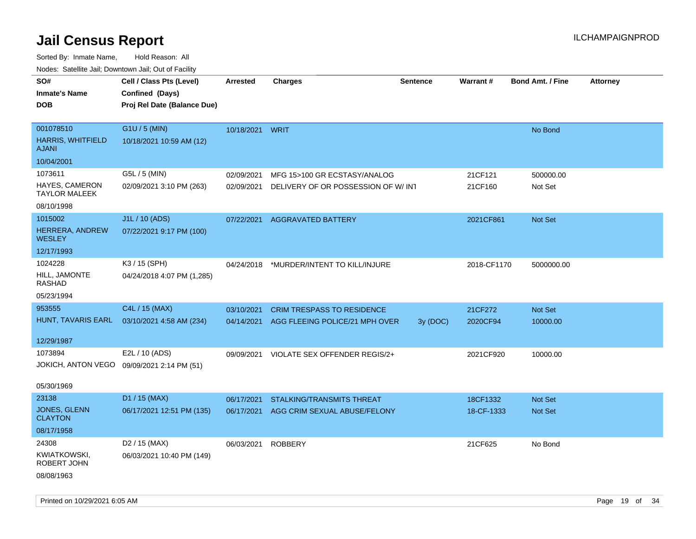| rouce. Calcinic Jan, Downtown Jan, Out or Facility |                                                                            |                    |                                           |                 |             |                         |                 |
|----------------------------------------------------|----------------------------------------------------------------------------|--------------------|-------------------------------------------|-----------------|-------------|-------------------------|-----------------|
| SO#<br><b>Inmate's Name</b><br><b>DOB</b>          | Cell / Class Pts (Level)<br>Confined (Days)<br>Proj Rel Date (Balance Due) | <b>Arrested</b>    | <b>Charges</b>                            | <b>Sentence</b> | Warrant#    | <b>Bond Amt. / Fine</b> | <b>Attorney</b> |
|                                                    |                                                                            |                    |                                           |                 |             |                         |                 |
| 001078510                                          | G1U / 5 (MIN)                                                              | 10/18/2021 WRIT    |                                           |                 |             | No Bond                 |                 |
| <b>HARRIS, WHITFIELD</b><br><b>AJANI</b>           | 10/18/2021 10:59 AM (12)                                                   |                    |                                           |                 |             |                         |                 |
| 10/04/2001                                         |                                                                            |                    |                                           |                 |             |                         |                 |
| 1073611                                            | G5L / 5 (MIN)                                                              | 02/09/2021         | MFG 15>100 GR ECSTASY/ANALOG              |                 | 21CF121     | 500000.00               |                 |
| HAYES, CAMERON<br><b>TAYLOR MALEEK</b>             | 02/09/2021 3:10 PM (263)                                                   | 02/09/2021         | DELIVERY OF OR POSSESSION OF W/INT        |                 | 21CF160     | Not Set                 |                 |
| 08/10/1998                                         |                                                                            |                    |                                           |                 |             |                         |                 |
| 1015002                                            | J1L / 10 (ADS)                                                             | 07/22/2021         | <b>AGGRAVATED BATTERY</b>                 |                 | 2021CF861   | Not Set                 |                 |
| HERRERA, ANDREW<br>WESLEY                          | 07/22/2021 9:17 PM (100)                                                   |                    |                                           |                 |             |                         |                 |
| 12/17/1993                                         |                                                                            |                    |                                           |                 |             |                         |                 |
| 1024228                                            | K3 / 15 (SPH)                                                              |                    | 04/24/2018 *MURDER/INTENT TO KILL/INJURE  |                 | 2018-CF1170 | 5000000.00              |                 |
| HILL, JAMONTE<br>RASHAD                            | 04/24/2018 4:07 PM (1,285)                                                 |                    |                                           |                 |             |                         |                 |
| 05/23/1994                                         |                                                                            |                    |                                           |                 |             |                         |                 |
| 953555                                             | C4L / 15 (MAX)                                                             | 03/10/2021         | <b>CRIM TRESPASS TO RESIDENCE</b>         |                 | 21CF272     | Not Set                 |                 |
| HUNT, TAVARIS EARL                                 | 03/10/2021 4:58 AM (234)                                                   |                    | 04/14/2021 AGG FLEEING POLICE/21 MPH OVER | 3y (DOC)        | 2020CF94    | 10000.00                |                 |
| 12/29/1987                                         |                                                                            |                    |                                           |                 |             |                         |                 |
| 1073894                                            | E2L / 10 (ADS)                                                             | 09/09/2021         | VIOLATE SEX OFFENDER REGIS/2+             |                 | 2021CF920   | 10000.00                |                 |
| JOKICH, ANTON VEGO                                 | 09/09/2021 2:14 PM (51)                                                    |                    |                                           |                 |             |                         |                 |
| 05/30/1969                                         |                                                                            |                    |                                           |                 |             |                         |                 |
| 23138                                              | D1 / 15 (MAX)                                                              | 06/17/2021         | STALKING/TRANSMITS THREAT                 |                 | 18CF1332    | Not Set                 |                 |
| JONES, GLENN<br><b>CLAYTON</b>                     | 06/17/2021 12:51 PM (135)                                                  | 06/17/2021         | AGG CRIM SEXUAL ABUSE/FELONY              |                 | 18-CF-1333  | Not Set                 |                 |
| 08/17/1958                                         |                                                                            |                    |                                           |                 |             |                         |                 |
| 24308                                              | D2 / 15 (MAX)                                                              | 06/03/2021 ROBBERY |                                           |                 | 21CF625     | No Bond                 |                 |
| KWIATKOWSKI,<br>ROBERT JOHN                        | 06/03/2021 10:40 PM (149)                                                  |                    |                                           |                 |             |                         |                 |
| 08/08/1963                                         |                                                                            |                    |                                           |                 |             |                         |                 |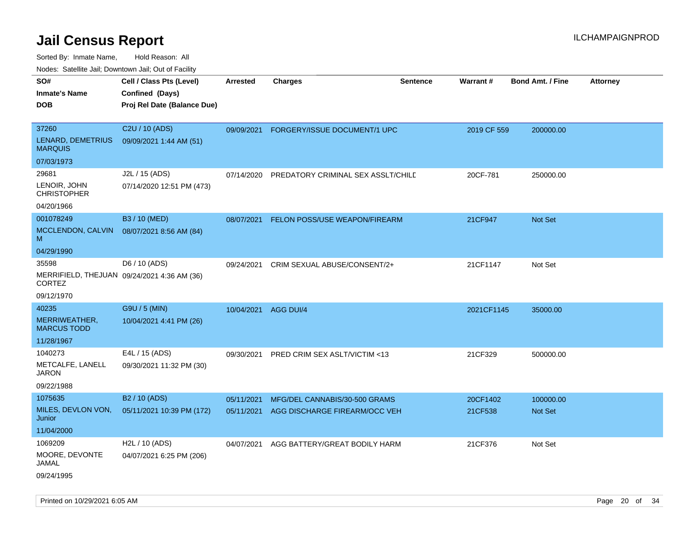Sorted By: Inmate Name, Hold Reason: All

Nodes: Satellite Jail; Downtown Jail; Out of Facility

| SO#                                                          |                             |                 |                                    |                 | Warrant#    |                         |                 |
|--------------------------------------------------------------|-----------------------------|-----------------|------------------------------------|-----------------|-------------|-------------------------|-----------------|
|                                                              | Cell / Class Pts (Level)    | <b>Arrested</b> | <b>Charges</b>                     | <b>Sentence</b> |             | <b>Bond Amt. / Fine</b> | <b>Attorney</b> |
| <b>Inmate's Name</b>                                         | Confined (Days)             |                 |                                    |                 |             |                         |                 |
| <b>DOB</b>                                                   | Proj Rel Date (Balance Due) |                 |                                    |                 |             |                         |                 |
| 37260                                                        | C2U / 10 (ADS)              | 09/09/2021      | FORGERY/ISSUE DOCUMENT/1 UPC       |                 | 2019 CF 559 | 200000.00               |                 |
| LENARD, DEMETRIUS<br><b>MARQUIS</b>                          | 09/09/2021 1:44 AM (51)     |                 |                                    |                 |             |                         |                 |
| 07/03/1973                                                   |                             |                 |                                    |                 |             |                         |                 |
| 29681                                                        | J2L / 15 (ADS)              | 07/14/2020      | PREDATORY CRIMINAL SEX ASSLT/CHILD |                 | 20CF-781    | 250000.00               |                 |
| LENOIR, JOHN<br><b>CHRISTOPHER</b>                           | 07/14/2020 12:51 PM (473)   |                 |                                    |                 |             |                         |                 |
| 04/20/1966                                                   |                             |                 |                                    |                 |             |                         |                 |
| 001078249                                                    | B3 / 10 (MED)               | 08/07/2021      | FELON POSS/USE WEAPON/FIREARM      |                 | 21CF947     | Not Set                 |                 |
| MCCLENDON, CALVIN<br>M                                       | 08/07/2021 8:56 AM (84)     |                 |                                    |                 |             |                         |                 |
| 04/29/1990                                                   |                             |                 |                                    |                 |             |                         |                 |
| 35598                                                        | D6 / 10 (ADS)               | 09/24/2021      | CRIM SEXUAL ABUSE/CONSENT/2+       |                 | 21CF1147    | Not Set                 |                 |
| MERRIFIELD, THEJUAN 09/24/2021 4:36 AM (36)<br><b>CORTEZ</b> |                             |                 |                                    |                 |             |                         |                 |
| 09/12/1970                                                   |                             |                 |                                    |                 |             |                         |                 |
| 40235                                                        | G9U / 5 (MIN)               | 10/04/2021      | AGG DUI/4                          |                 | 2021CF1145  | 35000.00                |                 |
| MERRIWEATHER,<br><b>MARCUS TODD</b>                          | 10/04/2021 4:41 PM (26)     |                 |                                    |                 |             |                         |                 |
| 11/28/1967                                                   |                             |                 |                                    |                 |             |                         |                 |
| 1040273                                                      | E4L / 15 (ADS)              | 09/30/2021      | PRED CRIM SEX ASLT/VICTIM <13      |                 | 21CF329     | 500000.00               |                 |
| METCALFE, LANELL<br>JARON                                    | 09/30/2021 11:32 PM (30)    |                 |                                    |                 |             |                         |                 |
| 09/22/1988                                                   |                             |                 |                                    |                 |             |                         |                 |
| 1075635                                                      | B <sub>2</sub> / 10 (ADS)   | 05/11/2021      | MFG/DEL CANNABIS/30-500 GRAMS      |                 | 20CF1402    | 100000.00               |                 |
| MILES, DEVLON VON,<br>Junior                                 | 05/11/2021 10:39 PM (172)   | 05/11/2021      | AGG DISCHARGE FIREARM/OCC VEH      |                 | 21CF538     | <b>Not Set</b>          |                 |
| 11/04/2000                                                   |                             |                 |                                    |                 |             |                         |                 |
| 1069209                                                      | H <sub>2</sub> L / 10 (ADS) | 04/07/2021      | AGG BATTERY/GREAT BODILY HARM      |                 | 21CF376     | Not Set                 |                 |
| MOORE, DEVONTE<br>JAMAL                                      | 04/07/2021 6:25 PM (206)    |                 |                                    |                 |             |                         |                 |
| 09/24/1995                                                   |                             |                 |                                    |                 |             |                         |                 |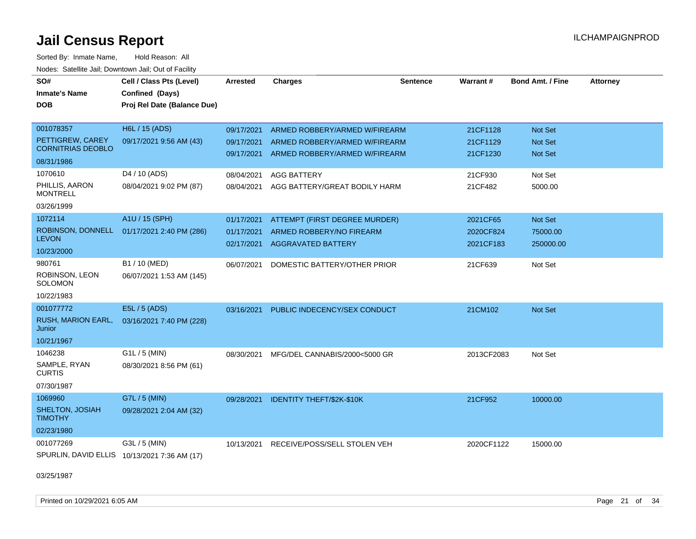Sorted By: Inmate Name, Hold Reason: All Nodes: Satellite Jail; Downtown Jail; Out of Facility

| SO#<br><b>Inmate's Name</b><br><b>DOB</b>                  | Cell / Class Pts (Level)<br>Confined (Days)<br>Proj Rel Date (Balance Due) | <b>Arrested</b>                        | <b>Charges</b>                                                                         | <b>Sentence</b> | Warrant#                           | Bond Amt. / Fine                 | <b>Attorney</b> |
|------------------------------------------------------------|----------------------------------------------------------------------------|----------------------------------------|----------------------------------------------------------------------------------------|-----------------|------------------------------------|----------------------------------|-----------------|
| 001078357<br>PETTIGREW, CAREY                              | H6L / 15 (ADS)<br>09/17/2021 9:56 AM (43)                                  | 09/17/2021<br>09/17/2021               | ARMED ROBBERY/ARMED W/FIREARM<br>ARMED ROBBERY/ARMED W/FIREARM                         |                 | 21CF1128<br>21CF1129               | Not Set<br>Not Set               |                 |
| <b>CORNITRIAS DEOBLO</b><br>08/31/1986                     |                                                                            | 09/17/2021                             | ARMED ROBBERY/ARMED W/FIREARM                                                          |                 | 21CF1230                           | <b>Not Set</b>                   |                 |
| 1070610<br>PHILLIS, AARON<br><b>MONTRELL</b><br>03/26/1999 | D <sub>4</sub> / 10 (ADS)<br>08/04/2021 9:02 PM (87)                       | 08/04/2021<br>08/04/2021               | <b>AGG BATTERY</b><br>AGG BATTERY/GREAT BODILY HARM                                    |                 | 21CF930<br>21CF482                 | Not Set<br>5000.00               |                 |
| 1072114<br>ROBINSON, DONNELL<br><b>LEVON</b><br>10/23/2000 | A1U / 15 (SPH)<br>01/17/2021 2:40 PM (286)                                 | 01/17/2021<br>01/17/2021<br>02/17/2021 | ATTEMPT (FIRST DEGREE MURDER)<br>ARMED ROBBERY/NO FIREARM<br><b>AGGRAVATED BATTERY</b> |                 | 2021CF65<br>2020CF824<br>2021CF183 | Not Set<br>75000.00<br>250000.00 |                 |
| 980761<br>ROBINSON, LEON<br>SOLOMON<br>10/22/1983          | B1 / 10 (MED)<br>06/07/2021 1:53 AM (145)                                  | 06/07/2021                             | DOMESTIC BATTERY/OTHER PRIOR                                                           |                 | 21CF639                            | Not Set                          |                 |
| 001077772<br>RUSH, MARION EARL,<br>Junior<br>10/21/1967    | E5L / 5 (ADS)<br>03/16/2021 7:40 PM (228)                                  | 03/16/2021                             | PUBLIC INDECENCY/SEX CONDUCT                                                           |                 | 21CM102                            | Not Set                          |                 |
| 1046238<br>SAMPLE, RYAN<br><b>CURTIS</b><br>07/30/1987     | G1L / 5 (MIN)<br>08/30/2021 8:56 PM (61)                                   | 08/30/2021                             | MFG/DEL CANNABIS/2000<5000 GR                                                          |                 | 2013CF2083                         | Not Set                          |                 |
| 1069960<br>SHELTON, JOSIAH<br><b>TIMOTHY</b><br>02/23/1980 | G7L / 5 (MIN)<br>09/28/2021 2:04 AM (32)                                   | 09/28/2021                             | <b>IDENTITY THEFT/\$2K-\$10K</b>                                                       |                 | 21CF952                            | 10000.00                         |                 |
| 001077269                                                  | G3L / 5 (MIN)<br>SPURLIN, DAVID ELLIS 10/13/2021 7:36 AM (17)              | 10/13/2021                             | RECEIVE/POSS/SELL STOLEN VEH                                                           |                 | 2020CF1122                         | 15000.00                         |                 |

03/25/1987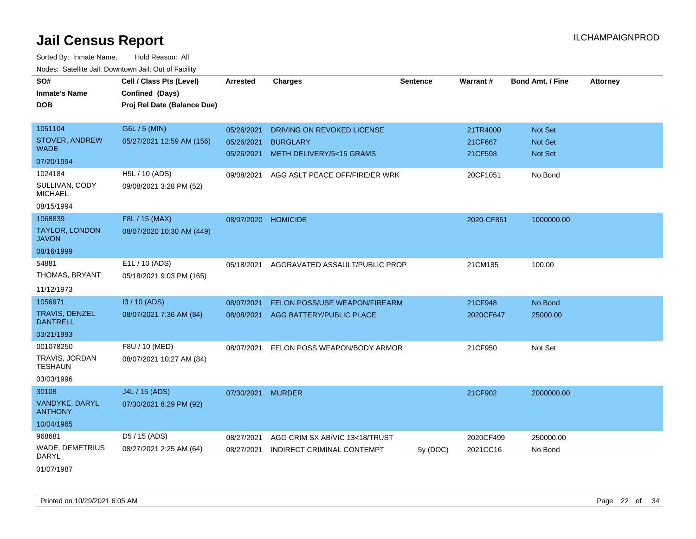| SO#                                   | Cell / Class Pts (Level)    | Arrested   | <b>Charges</b>                 | <b>Sentence</b> | Warrant#   | <b>Bond Amt. / Fine</b> | <b>Attorney</b> |
|---------------------------------------|-----------------------------|------------|--------------------------------|-----------------|------------|-------------------------|-----------------|
| <b>Inmate's Name</b>                  | Confined (Days)             |            |                                |                 |            |                         |                 |
| <b>DOB</b>                            | Proj Rel Date (Balance Due) |            |                                |                 |            |                         |                 |
|                                       |                             |            |                                |                 |            |                         |                 |
| 1051104                               | G6L / 5 (MIN)               | 05/26/2021 | DRIVING ON REVOKED LICENSE     |                 | 21TR4000   | Not Set                 |                 |
| STOVER, ANDREW<br><b>WADE</b>         | 05/27/2021 12:59 AM (156)   | 05/26/2021 | <b>BURGLARY</b>                |                 | 21CF667    | Not Set                 |                 |
| 07/20/1994                            |                             | 05/26/2021 | METH DELIVERY/5<15 GRAMS       |                 | 21CF598    | <b>Not Set</b>          |                 |
| 1024184                               |                             |            |                                |                 |            |                         |                 |
|                                       | H5L / 10 (ADS)              | 09/08/2021 | AGG ASLT PEACE OFF/FIRE/ER WRK |                 | 20CF1051   | No Bond                 |                 |
| SULLIVAN, CODY<br><b>MICHAEL</b>      | 09/08/2021 3:28 PM (52)     |            |                                |                 |            |                         |                 |
| 08/15/1994                            |                             |            |                                |                 |            |                         |                 |
| 1068839                               | F8L / 15 (MAX)              | 08/07/2020 | <b>HOMICIDE</b>                |                 | 2020-CF851 | 1000000.00              |                 |
| <b>TAYLOR, LONDON</b><br><b>JAVON</b> | 08/07/2020 10:30 AM (449)   |            |                                |                 |            |                         |                 |
| 08/16/1999                            |                             |            |                                |                 |            |                         |                 |
| 54881                                 | E1L / 10 (ADS)              | 05/18/2021 | AGGRAVATED ASSAULT/PUBLIC PROP |                 | 21CM185    | 100.00                  |                 |
| THOMAS, BRYANT                        | 05/18/2021 9:03 PM (165)    |            |                                |                 |            |                         |                 |
| 11/12/1973                            |                             |            |                                |                 |            |                         |                 |
| 1056971                               | I3 / 10 (ADS)               | 08/07/2021 | FELON POSS/USE WEAPON/FIREARM  |                 | 21CF948    | No Bond                 |                 |
| TRAVIS, DENZEL<br><b>DANTRELL</b>     | 08/07/2021 7:36 AM (84)     | 08/08/2021 | AGG BATTERY/PUBLIC PLACE       |                 | 2020CF647  | 25000.00                |                 |
| 03/21/1993                            |                             |            |                                |                 |            |                         |                 |
| 001078250                             | F8U / 10 (MED)              | 08/07/2021 | FELON POSS WEAPON/BODY ARMOR   |                 | 21CF950    | Not Set                 |                 |
| TRAVIS, JORDAN<br><b>TESHAUN</b>      | 08/07/2021 10:27 AM (84)    |            |                                |                 |            |                         |                 |
| 03/03/1996                            |                             |            |                                |                 |            |                         |                 |
| 30108                                 | J4L / 15 (ADS)              | 07/30/2021 | <b>MURDER</b>                  |                 | 21CF902    | 2000000.00              |                 |
| VANDYKE, DARYL<br><b>ANTHONY</b>      | 07/30/2021 8:29 PM (92)     |            |                                |                 |            |                         |                 |
| 10/04/1965                            |                             |            |                                |                 |            |                         |                 |
| 968681                                | D5 / 15 (ADS)               | 08/27/2021 | AGG CRIM SX AB/VIC 13<18/TRUST |                 | 2020CF499  | 250000.00               |                 |
| WADE, DEMETRIUS<br><b>DARYL</b>       | 08/27/2021 2:25 AM (64)     | 08/27/2021 | INDIRECT CRIMINAL CONTEMPT     | 5y (DOC)        | 2021CC16   | No Bond                 |                 |
| 01/07/1987                            |                             |            |                                |                 |            |                         |                 |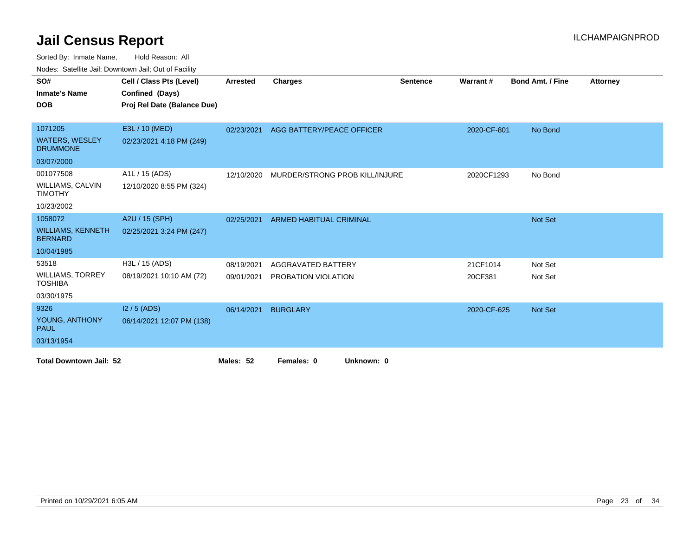Sorted By: Inmate Name, Hold Reason: All

Nodes: Satellite Jail; Downtown Jail; Out of Facility

| SO#                                        | Cell / Class Pts (Level)    | <b>Arrested</b> | <b>Charges</b>                 | <b>Sentence</b> | Warrant#    | <b>Bond Amt. / Fine</b> | <b>Attorney</b> |
|--------------------------------------------|-----------------------------|-----------------|--------------------------------|-----------------|-------------|-------------------------|-----------------|
| <b>Inmate's Name</b>                       | Confined (Days)             |                 |                                |                 |             |                         |                 |
| <b>DOB</b>                                 | Proj Rel Date (Balance Due) |                 |                                |                 |             |                         |                 |
|                                            |                             |                 |                                |                 |             |                         |                 |
| 1071205                                    | E3L / 10 (MED)              | 02/23/2021      | AGG BATTERY/PEACE OFFICER      |                 | 2020-CF-801 | No Bond                 |                 |
| <b>WATERS, WESLEY</b><br><b>DRUMMONE</b>   | 02/23/2021 4:18 PM (249)    |                 |                                |                 |             |                         |                 |
| 03/07/2000                                 |                             |                 |                                |                 |             |                         |                 |
| 001077508                                  | A1L / 15 (ADS)              | 12/10/2020      | MURDER/STRONG PROB KILL/INJURE |                 | 2020CF1293  | No Bond                 |                 |
| <b>WILLIAMS, CALVIN</b><br><b>TIMOTHY</b>  | 12/10/2020 8:55 PM (324)    |                 |                                |                 |             |                         |                 |
| 10/23/2002                                 |                             |                 |                                |                 |             |                         |                 |
| 1058072                                    | A2U / 15 (SPH)              | 02/25/2021      | <b>ARMED HABITUAL CRIMINAL</b> |                 |             | Not Set                 |                 |
| <b>WILLIAMS, KENNETH</b><br><b>BERNARD</b> | 02/25/2021 3:24 PM (247)    |                 |                                |                 |             |                         |                 |
| 10/04/1985                                 |                             |                 |                                |                 |             |                         |                 |
| 53518                                      | H3L / 15 (ADS)              | 08/19/2021      | AGGRAVATED BATTERY             |                 | 21CF1014    | Not Set                 |                 |
| <b>WILLIAMS, TORREY</b><br><b>TOSHIBA</b>  | 08/19/2021 10:10 AM (72)    | 09/01/2021      | PROBATION VIOLATION            |                 | 20CF381     | Not Set                 |                 |
| 03/30/1975                                 |                             |                 |                                |                 |             |                         |                 |
| 9326                                       | $12/5$ (ADS)                | 06/14/2021      | <b>BURGLARY</b>                |                 | 2020-CF-625 | <b>Not Set</b>          |                 |
| YOUNG, ANTHONY<br><b>PAUL</b>              | 06/14/2021 12:07 PM (138)   |                 |                                |                 |             |                         |                 |
| 03/13/1954                                 |                             |                 |                                |                 |             |                         |                 |
| <b>Total Downtown Jail: 52</b>             |                             | Males: 52       | Females: 0<br>Unknown: 0       |                 |             |                         |                 |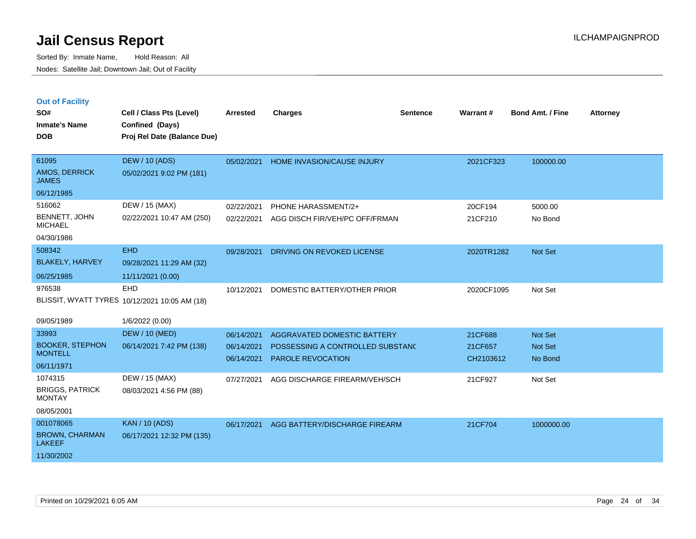|  | <b>Out of Facility</b> |  |
|--|------------------------|--|

| SO#<br><b>Inmate's Name</b><br><b>DOB</b>                         | Cell / Class Pts (Level)<br>Confined (Days)<br>Proj Rel Date (Balance Due) | <b>Arrested</b>                        | <b>Charges</b>                                                                              | <b>Sentence</b> | Warrant#                        | <b>Bond Amt. / Fine</b>              | <b>Attorney</b> |
|-------------------------------------------------------------------|----------------------------------------------------------------------------|----------------------------------------|---------------------------------------------------------------------------------------------|-----------------|---------------------------------|--------------------------------------|-----------------|
| 61095<br><b>AMOS, DERRICK</b><br><b>JAMES</b><br>06/12/1985       | <b>DEW / 10 (ADS)</b><br>05/02/2021 9:02 PM (181)                          | 05/02/2021                             | <b>HOME INVASION/CAUSE INJURY</b>                                                           |                 | 2021CF323                       | 100000.00                            |                 |
| 516062<br>BENNETT, JOHN<br><b>MICHAEL</b><br>04/30/1986           | DEW / 15 (MAX)<br>02/22/2021 10:47 AM (250)                                | 02/22/2021<br>02/22/2021               | PHONE HARASSMENT/2+<br>AGG DISCH FIR/VEH/PC OFF/FRMAN                                       |                 | 20CF194<br>21CF210              | 5000.00<br>No Bond                   |                 |
| 508342<br><b>BLAKELY, HARVEY</b><br>06/25/1985                    | <b>EHD</b><br>09/28/2021 11:29 AM (32)<br>11/11/2021 (0.00)                | 09/28/2021                             | DRIVING ON REVOKED LICENSE                                                                  |                 | 2020TR1282                      | <b>Not Set</b>                       |                 |
| 976538<br>09/05/1989                                              | EHD<br>BLISSIT, WYATT TYRES 10/12/2021 10:05 AM (18)<br>1/6/2022 (0.00)    | 10/12/2021                             | DOMESTIC BATTERY/OTHER PRIOR                                                                |                 | 2020CF1095                      | Not Set                              |                 |
| 33993<br><b>BOOKER, STEPHON</b><br><b>MONTELL</b><br>06/11/1971   | <b>DEW / 10 (MED)</b><br>06/14/2021 7:42 PM (138)                          | 06/14/2021<br>06/14/2021<br>06/14/2021 | AGGRAVATED DOMESTIC BATTERY<br>POSSESSING A CONTROLLED SUBSTANC<br><b>PAROLE REVOCATION</b> |                 | 21CF688<br>21CF657<br>CH2103612 | <b>Not Set</b><br>Not Set<br>No Bond |                 |
| 1074315<br><b>BRIGGS, PATRICK</b><br><b>MONTAY</b><br>08/05/2001  | DEW / 15 (MAX)<br>08/03/2021 4:56 PM (88)                                  | 07/27/2021                             | AGG DISCHARGE FIREARM/VEH/SCH                                                               |                 | 21CF927                         | Not Set                              |                 |
| 001078065<br><b>BROWN, CHARMAN</b><br><b>LAKEEF</b><br>11/30/2002 | <b>KAN / 10 (ADS)</b><br>06/17/2021 12:32 PM (135)                         | 06/17/2021                             | AGG BATTERY/DISCHARGE FIREARM                                                               |                 | 21CF704                         | 1000000.00                           |                 |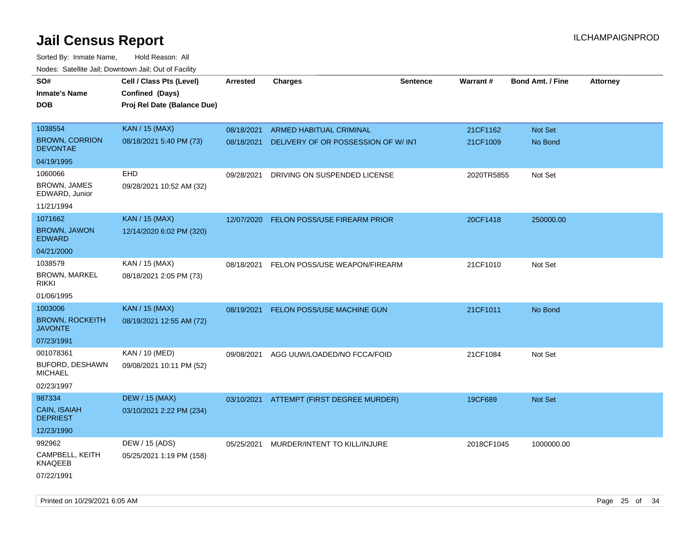| roaco. Odichile Jan, Downtown Jan, Out of Facility                |                                                                            |                          |                                                                |                 |                      |                         |                 |
|-------------------------------------------------------------------|----------------------------------------------------------------------------|--------------------------|----------------------------------------------------------------|-----------------|----------------------|-------------------------|-----------------|
| SO#<br><b>Inmate's Name</b><br><b>DOB</b>                         | Cell / Class Pts (Level)<br>Confined (Days)<br>Proj Rel Date (Balance Due) | <b>Arrested</b>          | <b>Charges</b>                                                 | <b>Sentence</b> | Warrant#             | <b>Bond Amt. / Fine</b> | <b>Attorney</b> |
| 1038554<br><b>BROWN, CORRION</b><br><b>DEVONTAE</b>               | <b>KAN / 15 (MAX)</b><br>08/18/2021 5:40 PM (73)                           | 08/18/2021<br>08/18/2021 | ARMED HABITUAL CRIMINAL<br>DELIVERY OF OR POSSESSION OF W/ INT |                 | 21CF1162<br>21CF1009 | Not Set<br>No Bond      |                 |
| 04/19/1995                                                        |                                                                            |                          |                                                                |                 |                      |                         |                 |
| 1060066<br><b>BROWN, JAMES</b><br>EDWARD, Junior<br>11/21/1994    | EHD<br>09/28/2021 10:52 AM (32)                                            | 09/28/2021               | DRIVING ON SUSPENDED LICENSE                                   |                 | 2020TR5855           | Not Set                 |                 |
| 1071662<br><b>BROWN, JAWON</b><br><b>EDWARD</b>                   | <b>KAN / 15 (MAX)</b><br>12/14/2020 6:02 PM (320)                          | 12/07/2020               | <b>FELON POSS/USE FIREARM PRIOR</b>                            |                 | 20CF1418             | 250000.00               |                 |
| 04/21/2000                                                        |                                                                            |                          |                                                                |                 |                      |                         |                 |
| 1038579<br><b>BROWN, MARKEL</b><br><b>RIKKI</b>                   | KAN / 15 (MAX)<br>08/18/2021 2:05 PM (73)                                  | 08/18/2021               | FELON POSS/USE WEAPON/FIREARM                                  |                 | 21CF1010             | Not Set                 |                 |
| 01/06/1995                                                        |                                                                            |                          |                                                                |                 |                      |                         |                 |
| 1003006<br><b>BROWN, ROCKEITH</b><br><b>JAVONTE</b><br>07/23/1991 | <b>KAN / 15 (MAX)</b><br>08/19/2021 12:55 AM (72)                          | 08/19/2021               | <b>FELON POSS/USE MACHINE GUN</b>                              |                 | 21CF1011             | No Bond                 |                 |
| 001078361                                                         | KAN / 10 (MED)                                                             |                          | 09/08/2021 AGG UUW/LOADED/NO FCCA/FOID                         |                 | 21CF1084             | Not Set                 |                 |
| BUFORD, DESHAWN<br><b>MICHAEL</b><br>02/23/1997                   | 09/08/2021 10:11 PM (52)                                                   |                          |                                                                |                 |                      |                         |                 |
| 987334                                                            | <b>DEW / 15 (MAX)</b>                                                      |                          | 03/10/2021 ATTEMPT (FIRST DEGREE MURDER)                       |                 | 19CF689              | <b>Not Set</b>          |                 |
| CAIN, ISAIAH<br><b>DEPRIEST</b>                                   | 03/10/2021 2:22 PM (234)                                                   |                          |                                                                |                 |                      |                         |                 |
| 12/23/1990                                                        |                                                                            |                          |                                                                |                 |                      |                         |                 |
| 992962<br>CAMPBELL, KEITH<br><b>KNAQEEB</b><br>07/22/1991         | DEW / 15 (ADS)<br>05/25/2021 1:19 PM (158)                                 | 05/25/2021               | MURDER/INTENT TO KILL/INJURE                                   |                 | 2018CF1045           | 1000000.00              |                 |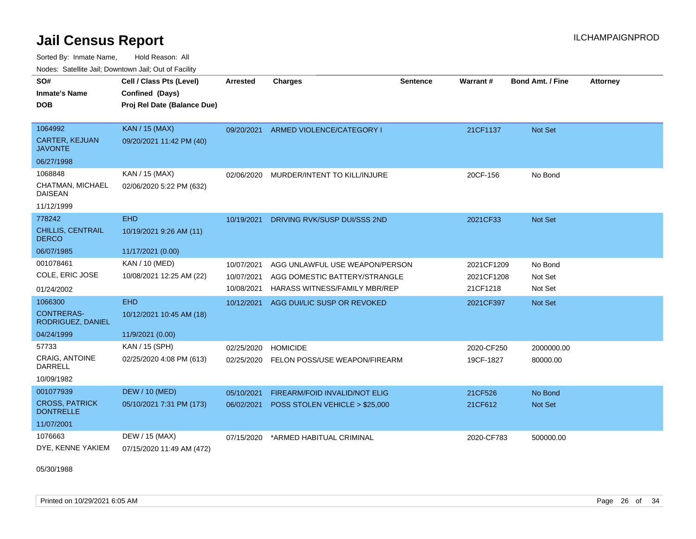Sorted By: Inmate Name, Hold Reason: All Nodes: Satellite Jail; Downtown Jail; Out of Facility

| SO#<br><b>Inmate's Name</b><br>DOB        | Cell / Class Pts (Level)<br>Confined (Days)<br>Proj Rel Date (Balance Due) | <b>Arrested</b> | <b>Charges</b>                 | <b>Sentence</b> | Warrant#   | <b>Bond Amt. / Fine</b> | <b>Attorney</b> |
|-------------------------------------------|----------------------------------------------------------------------------|-----------------|--------------------------------|-----------------|------------|-------------------------|-----------------|
|                                           |                                                                            |                 |                                |                 |            |                         |                 |
| 1064992                                   | <b>KAN / 15 (MAX)</b>                                                      | 09/20/2021      | ARMED VIOLENCE/CATEGORY I      |                 | 21CF1137   | Not Set                 |                 |
| <b>CARTER, KEJUAN</b><br><b>JAVONTE</b>   | 09/20/2021 11:42 PM (40)                                                   |                 |                                |                 |            |                         |                 |
| 06/27/1998                                |                                                                            |                 |                                |                 |            |                         |                 |
| 1068848                                   | KAN / 15 (MAX)                                                             | 02/06/2020      | MURDER/INTENT TO KILL/INJURE   |                 | 20CF-156   | No Bond                 |                 |
| CHATMAN, MICHAEL<br><b>DAISEAN</b>        | 02/06/2020 5:22 PM (632)                                                   |                 |                                |                 |            |                         |                 |
| 11/12/1999                                |                                                                            |                 |                                |                 |            |                         |                 |
| 778242                                    | <b>EHD</b>                                                                 | 10/19/2021      | DRIVING RVK/SUSP DUI/SSS 2ND   |                 | 2021CF33   | <b>Not Set</b>          |                 |
| CHILLIS, CENTRAIL<br><b>DERCO</b>         | 10/19/2021 9:26 AM (11)                                                    |                 |                                |                 |            |                         |                 |
| 06/07/1985                                | 11/17/2021 (0.00)                                                          |                 |                                |                 |            |                         |                 |
| 001078461                                 | <b>KAN / 10 (MED)</b>                                                      | 10/07/2021      | AGG UNLAWFUL USE WEAPON/PERSON |                 | 2021CF1209 | No Bond                 |                 |
| COLE, ERIC JOSE                           | 10/08/2021 12:25 AM (22)                                                   | 10/07/2021      | AGG DOMESTIC BATTERY/STRANGLE  |                 | 2021CF1208 | Not Set                 |                 |
| 01/24/2002                                |                                                                            | 10/08/2021      | HARASS WITNESS/FAMILY MBR/REP  |                 | 21CF1218   | Not Set                 |                 |
| 1066300                                   | <b>EHD</b>                                                                 | 10/12/2021      | AGG DUI/LIC SUSP OR REVOKED    |                 | 2021CF397  | Not Set                 |                 |
| <b>CONTRERAS-</b><br>RODRIGUEZ, DANIEL    | 10/12/2021 10:45 AM (18)                                                   |                 |                                |                 |            |                         |                 |
| 04/24/1999                                | 11/9/2021 (0.00)                                                           |                 |                                |                 |            |                         |                 |
| 57733                                     | KAN / 15 (SPH)                                                             | 02/25/2020      | <b>HOMICIDE</b>                |                 | 2020-CF250 | 2000000.00              |                 |
| <b>CRAIG, ANTOINE</b><br>DARRELL          | 02/25/2020 4:08 PM (613)                                                   | 02/25/2020      | FELON POSS/USE WEAPON/FIREARM  |                 | 19CF-1827  | 80000.00                |                 |
| 10/09/1982                                |                                                                            |                 |                                |                 |            |                         |                 |
| 001077939                                 | <b>DEW / 10 (MED)</b>                                                      | 05/10/2021      | FIREARM/FOID INVALID/NOT ELIG  |                 | 21CF526    | No Bond                 |                 |
| <b>CROSS, PATRICK</b><br><b>DONTRELLE</b> | 05/10/2021 7:31 PM (173)                                                   | 06/02/2021      | POSS STOLEN VEHICLE > \$25,000 |                 | 21CF612    | Not Set                 |                 |
| 11/07/2001                                |                                                                            |                 |                                |                 |            |                         |                 |
| 1076663                                   | DEW / 15 (MAX)                                                             | 07/15/2020      | *ARMED HABITUAL CRIMINAL       |                 | 2020-CF783 | 500000.00               |                 |
| DYE, KENNE YAKIEM                         | 07/15/2020 11:49 AM (472)                                                  |                 |                                |                 |            |                         |                 |

05/30/1988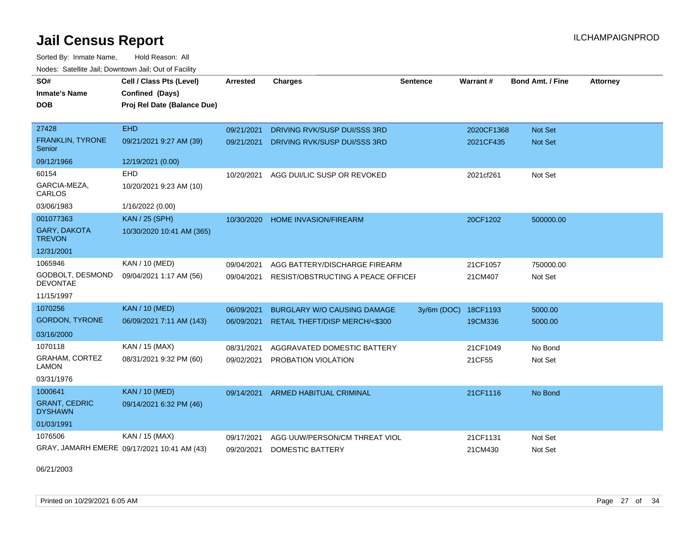Sorted By: Inmate Name, Hold Reason: All Nodes: Satellite Jail; Downtown Jail; Out of Facility

| SO#                                    | Cell / Class Pts (Level)                    | Arrested   | <b>Charges</b>                     | <b>Sentence</b> | <b>Warrant#</b> | <b>Bond Amt. / Fine</b> | <b>Attorney</b> |
|----------------------------------------|---------------------------------------------|------------|------------------------------------|-----------------|-----------------|-------------------------|-----------------|
| <b>Inmate's Name</b>                   | Confined (Days)                             |            |                                    |                 |                 |                         |                 |
| <b>DOB</b>                             | Proj Rel Date (Balance Due)                 |            |                                    |                 |                 |                         |                 |
|                                        |                                             |            |                                    |                 |                 |                         |                 |
| 27428                                  | <b>EHD</b>                                  | 09/21/2021 | DRIVING RVK/SUSP DUI/SSS 3RD       |                 | 2020CF1368      | <b>Not Set</b>          |                 |
| FRANKLIN, TYRONE<br>Senior             | 09/21/2021 9:27 AM (39)                     | 09/21/2021 | DRIVING RVK/SUSP DUI/SSS 3RD       |                 | 2021CF435       | Not Set                 |                 |
| 09/12/1966                             | 12/19/2021 (0.00)                           |            |                                    |                 |                 |                         |                 |
| 60154                                  | <b>EHD</b>                                  | 10/20/2021 | AGG DUI/LIC SUSP OR REVOKED        |                 | 2021cf261       | Not Set                 |                 |
| GARCIA-MEZA,<br>CARLOS                 | 10/20/2021 9:23 AM (10)                     |            |                                    |                 |                 |                         |                 |
| 03/06/1983                             | 1/16/2022 (0.00)                            |            |                                    |                 |                 |                         |                 |
| 001077363                              | <b>KAN / 25 (SPH)</b>                       | 10/30/2020 | <b>HOME INVASION/FIREARM</b>       |                 | 20CF1202        | 500000.00               |                 |
| <b>GARY, DAKOTA</b><br><b>TREVON</b>   | 10/30/2020 10:41 AM (365)                   |            |                                    |                 |                 |                         |                 |
| 12/31/2001                             |                                             |            |                                    |                 |                 |                         |                 |
| 1065946                                | <b>KAN / 10 (MED)</b>                       | 09/04/2021 | AGG BATTERY/DISCHARGE FIREARM      |                 | 21CF1057        | 750000.00               |                 |
| GODBOLT, DESMOND<br><b>DEVONTAE</b>    | 09/04/2021 1:17 AM (56)                     | 09/04/2021 | RESIST/OBSTRUCTING A PEACE OFFICEF |                 | 21CM407         | Not Set                 |                 |
| 11/15/1997                             |                                             |            |                                    |                 |                 |                         |                 |
| 1070256                                | <b>KAN / 10 (MED)</b>                       | 06/09/2021 | <b>BURGLARY W/O CAUSING DAMAGE</b> | 3y/6m (DOC)     | 18CF1193        | 5000.00                 |                 |
| <b>GORDON, TYRONE</b>                  | 06/09/2021 7:11 AM (143)                    | 06/09/2021 | RETAIL THEFT/DISP MERCH/<\$300     |                 | 19CM336         | 5000.00                 |                 |
| 03/16/2000                             |                                             |            |                                    |                 |                 |                         |                 |
| 1070118                                | KAN / 15 (MAX)                              | 08/31/2021 | AGGRAVATED DOMESTIC BATTERY        |                 | 21CF1049        | No Bond                 |                 |
| GRAHAM, CORTEZ<br><b>LAMON</b>         | 08/31/2021 9:32 PM (60)                     | 09/02/2021 | PROBATION VIOLATION                |                 | 21CF55          | Not Set                 |                 |
| 03/31/1976                             |                                             |            |                                    |                 |                 |                         |                 |
| 1000641                                | <b>KAN / 10 (MED)</b>                       | 09/14/2021 | ARMED HABITUAL CRIMINAL            |                 | 21CF1116        | No Bond                 |                 |
| <b>GRANT, CEDRIC</b><br><b>DYSHAWN</b> | 09/14/2021 6:32 PM (46)                     |            |                                    |                 |                 |                         |                 |
| 01/03/1991                             |                                             |            |                                    |                 |                 |                         |                 |
| 1076506                                | KAN / 15 (MAX)                              | 09/17/2021 | AGG UUW/PERSON/CM THREAT VIOL      |                 | 21CF1131        | Not Set                 |                 |
|                                        | GRAY, JAMARH EMERE 09/17/2021 10:41 AM (43) | 09/20/2021 | <b>DOMESTIC BATTERY</b>            |                 | 21CM430         | Not Set                 |                 |

06/21/2003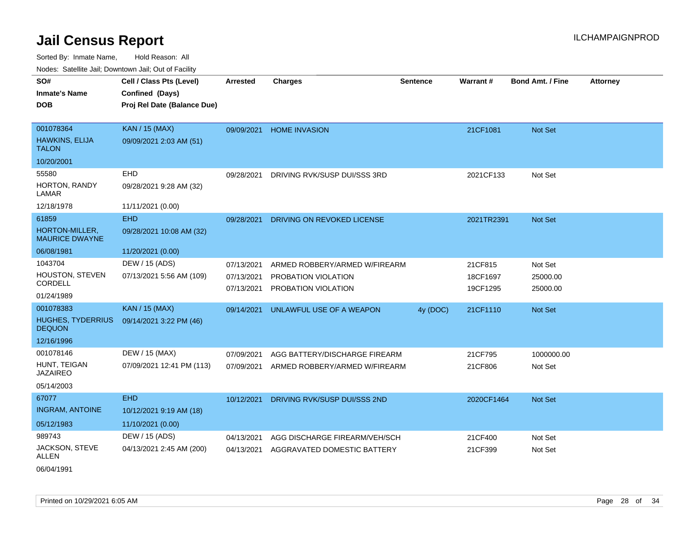| SO#                                       | Cell / Class Pts (Level)    | <b>Arrested</b> | <b>Charges</b>                | <b>Sentence</b> | Warrant#   | <b>Bond Amt. / Fine</b> | <b>Attorney</b> |
|-------------------------------------------|-----------------------------|-----------------|-------------------------------|-----------------|------------|-------------------------|-----------------|
| <b>Inmate's Name</b>                      | Confined (Days)             |                 |                               |                 |            |                         |                 |
| <b>DOB</b>                                | Proj Rel Date (Balance Due) |                 |                               |                 |            |                         |                 |
|                                           |                             |                 |                               |                 |            |                         |                 |
| 001078364                                 | <b>KAN / 15 (MAX)</b>       | 09/09/2021      | <b>HOME INVASION</b>          |                 | 21CF1081   | Not Set                 |                 |
| HAWKINS, ELIJA<br><b>TALON</b>            | 09/09/2021 2:03 AM (51)     |                 |                               |                 |            |                         |                 |
| 10/20/2001                                |                             |                 |                               |                 |            |                         |                 |
| 55580                                     | EHD                         | 09/28/2021      | DRIVING RVK/SUSP DUI/SSS 3RD  |                 | 2021CF133  | Not Set                 |                 |
| HORTON, RANDY<br>LAMAR                    | 09/28/2021 9:28 AM (32)     |                 |                               |                 |            |                         |                 |
| 12/18/1978                                | 11/11/2021 (0.00)           |                 |                               |                 |            |                         |                 |
| 61859                                     | <b>EHD</b>                  | 09/28/2021      | DRIVING ON REVOKED LICENSE    |                 | 2021TR2391 | Not Set                 |                 |
| HORTON-MILLER,<br><b>MAURICE DWAYNE</b>   | 09/28/2021 10:08 AM (32)    |                 |                               |                 |            |                         |                 |
| 06/08/1981                                | 11/20/2021 (0.00)           |                 |                               |                 |            |                         |                 |
| 1043704                                   | DEW / 15 (ADS)              | 07/13/2021      | ARMED ROBBERY/ARMED W/FIREARM |                 | 21CF815    | Not Set                 |                 |
| HOUSTON, STEVEN                           | 07/13/2021 5:56 AM (109)    | 07/13/2021      | PROBATION VIOLATION           |                 | 18CF1697   | 25000.00                |                 |
| CORDELL                                   |                             | 07/13/2021      | PROBATION VIOLATION           |                 | 19CF1295   | 25000.00                |                 |
| 01/24/1989                                |                             |                 |                               |                 |            |                         |                 |
| 001078383                                 | <b>KAN / 15 (MAX)</b>       | 09/14/2021      | UNLAWFUL USE OF A WEAPON      | 4y (DOC)        | 21CF1110   | Not Set                 |                 |
| <b>HUGHES, TYDERRIUS</b><br><b>DEQUON</b> | 09/14/2021 3:22 PM (46)     |                 |                               |                 |            |                         |                 |
| 12/16/1996                                |                             |                 |                               |                 |            |                         |                 |
| 001078146                                 | DEW / 15 (MAX)              | 07/09/2021      | AGG BATTERY/DISCHARGE FIREARM |                 | 21CF795    | 1000000.00              |                 |
| HUNT, TEIGAN<br><b>JAZAIREO</b>           | 07/09/2021 12:41 PM (113)   | 07/09/2021      | ARMED ROBBERY/ARMED W/FIREARM |                 | 21CF806    | Not Set                 |                 |
| 05/14/2003                                |                             |                 |                               |                 |            |                         |                 |
| 67077                                     | <b>EHD</b>                  | 10/12/2021      | DRIVING RVK/SUSP DUI/SSS 2ND  |                 | 2020CF1464 | <b>Not Set</b>          |                 |
| <b>INGRAM, ANTOINE</b>                    | 10/12/2021 9:19 AM (18)     |                 |                               |                 |            |                         |                 |
| 05/12/1983                                | 11/10/2021 (0.00)           |                 |                               |                 |            |                         |                 |
| 989743                                    | DEW / 15 (ADS)              | 04/13/2021      | AGG DISCHARGE FIREARM/VEH/SCH |                 | 21CF400    | Not Set                 |                 |
| JACKSON, STEVE<br>ALLEN                   | 04/13/2021 2:45 AM (200)    | 04/13/2021      | AGGRAVATED DOMESTIC BATTERY   |                 | 21CF399    | Not Set                 |                 |
| 06/04/1991                                |                             |                 |                               |                 |            |                         |                 |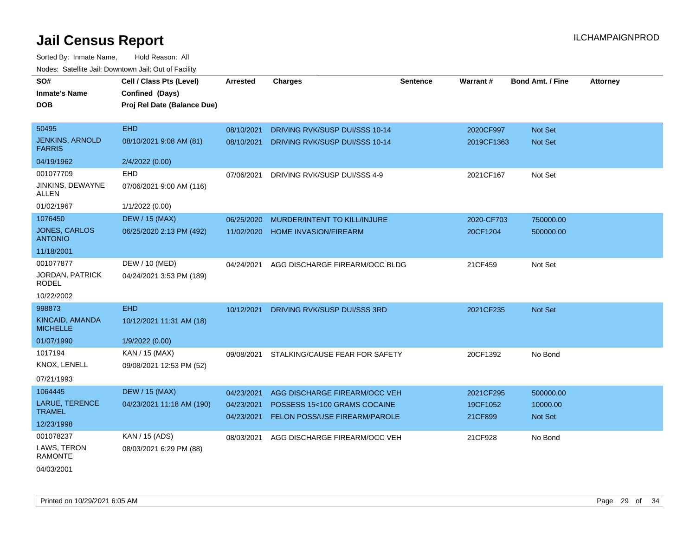| SO#                                     | Cell / Class Pts (Level)    | Arrested   | <b>Charges</b>                 | <b>Sentence</b> | Warrant#   | <b>Bond Amt. / Fine</b> | <b>Attorney</b> |
|-----------------------------------------|-----------------------------|------------|--------------------------------|-----------------|------------|-------------------------|-----------------|
| <b>Inmate's Name</b>                    | Confined (Days)             |            |                                |                 |            |                         |                 |
| <b>DOB</b>                              | Proj Rel Date (Balance Due) |            |                                |                 |            |                         |                 |
|                                         |                             |            |                                |                 |            |                         |                 |
| 50495                                   | <b>EHD</b>                  | 08/10/2021 | DRIVING RVK/SUSP DUI/SSS 10-14 |                 | 2020CF997  | Not Set                 |                 |
| <b>JENKINS, ARNOLD</b><br><b>FARRIS</b> | 08/10/2021 9:08 AM (81)     | 08/10/2021 | DRIVING RVK/SUSP DUI/SSS 10-14 |                 | 2019CF1363 | Not Set                 |                 |
| 04/19/1962                              | 2/4/2022 (0.00)             |            |                                |                 |            |                         |                 |
| 001077709                               | EHD                         | 07/06/2021 | DRIVING RVK/SUSP DUI/SSS 4-9   |                 | 2021CF167  | Not Set                 |                 |
| JINKINS, DEWAYNE<br><b>ALLEN</b>        | 07/06/2021 9:00 AM (116)    |            |                                |                 |            |                         |                 |
| 01/02/1967                              | 1/1/2022 (0.00)             |            |                                |                 |            |                         |                 |
| 1076450                                 | <b>DEW / 15 (MAX)</b>       | 06/25/2020 | MURDER/INTENT TO KILL/INJURE   |                 | 2020-CF703 | 750000.00               |                 |
| JONES, CARLOS<br><b>ANTONIO</b>         | 06/25/2020 2:13 PM (492)    | 11/02/2020 | <b>HOME INVASION/FIREARM</b>   |                 | 20CF1204   | 500000.00               |                 |
| 11/18/2001                              |                             |            |                                |                 |            |                         |                 |
| 001077877                               | DEW / 10 (MED)              | 04/24/2021 | AGG DISCHARGE FIREARM/OCC BLDG |                 | 21CF459    | Not Set                 |                 |
| <b>JORDAN, PATRICK</b><br><b>RODEL</b>  | 04/24/2021 3:53 PM (189)    |            |                                |                 |            |                         |                 |
| 10/22/2002                              |                             |            |                                |                 |            |                         |                 |
| 998873                                  | <b>EHD</b>                  | 10/12/2021 | DRIVING RVK/SUSP DUI/SSS 3RD   |                 | 2021CF235  | Not Set                 |                 |
| KINCAID, AMANDA<br><b>MICHELLE</b>      | 10/12/2021 11:31 AM (18)    |            |                                |                 |            |                         |                 |
| 01/07/1990                              | 1/9/2022 (0.00)             |            |                                |                 |            |                         |                 |
| 1017194                                 | KAN / 15 (MAX)              | 09/08/2021 | STALKING/CAUSE FEAR FOR SAFETY |                 | 20CF1392   | No Bond                 |                 |
| KNOX, LENELL                            | 09/08/2021 12:53 PM (52)    |            |                                |                 |            |                         |                 |
| 07/21/1993                              |                             |            |                                |                 |            |                         |                 |
| 1064445                                 | <b>DEW / 15 (MAX)</b>       | 04/23/2021 | AGG DISCHARGE FIREARM/OCC VEH  |                 | 2021CF295  | 500000.00               |                 |
| LARUE, TERENCE<br><b>TRAMEL</b>         | 04/23/2021 11:18 AM (190)   | 04/23/2021 | POSSESS 15<100 GRAMS COCAINE   |                 | 19CF1052   | 10000.00                |                 |
| 12/23/1998                              |                             | 04/23/2021 | FELON POSS/USE FIREARM/PAROLE  |                 | 21CF899    | Not Set                 |                 |
| 001078237                               | KAN / 15 (ADS)              | 08/03/2021 | AGG DISCHARGE FIREARM/OCC VEH  |                 | 21CF928    | No Bond                 |                 |
| LAWS, TERON<br>RAMONTE                  | 08/03/2021 6:29 PM (88)     |            |                                |                 |            |                         |                 |
| 04/03/2001                              |                             |            |                                |                 |            |                         |                 |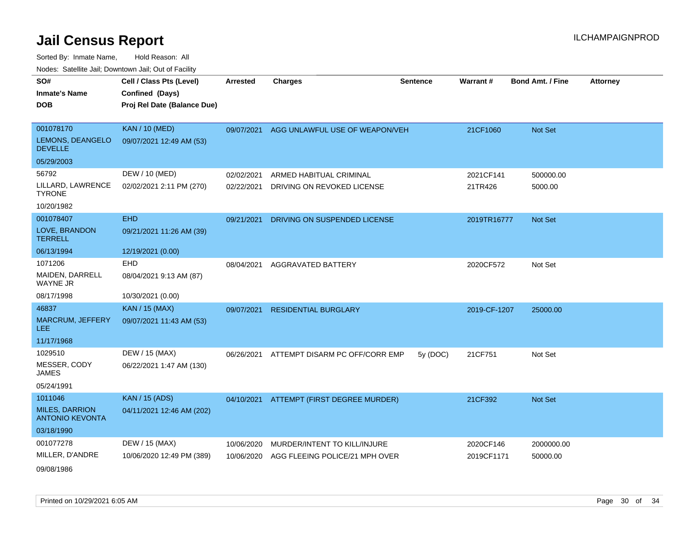| SO#                                             | Cell / Class Pts (Level)    | <b>Arrested</b> | <b>Charges</b>                            | <b>Sentence</b> | Warrant#     | <b>Bond Amt. / Fine</b> | <b>Attorney</b> |
|-------------------------------------------------|-----------------------------|-----------------|-------------------------------------------|-----------------|--------------|-------------------------|-----------------|
| <b>Inmate's Name</b>                            | Confined (Days)             |                 |                                           |                 |              |                         |                 |
| <b>DOB</b>                                      | Proj Rel Date (Balance Due) |                 |                                           |                 |              |                         |                 |
|                                                 |                             |                 |                                           |                 |              |                         |                 |
| 001078170                                       | <b>KAN / 10 (MED)</b>       |                 | 09/07/2021 AGG UNLAWFUL USE OF WEAPON/VEH |                 | 21CF1060     | Not Set                 |                 |
| LEMONS, DEANGELO<br><b>DEVELLE</b>              | 09/07/2021 12:49 AM (53)    |                 |                                           |                 |              |                         |                 |
| 05/29/2003                                      |                             |                 |                                           |                 |              |                         |                 |
| 56792                                           | DEW / 10 (MED)              | 02/02/2021      | ARMED HABITUAL CRIMINAL                   |                 | 2021CF141    | 500000.00               |                 |
| LILLARD, LAWRENCE<br><b>TYRONE</b>              | 02/02/2021 2:11 PM (270)    | 02/22/2021      | DRIVING ON REVOKED LICENSE                |                 | 21TR426      | 5000.00                 |                 |
| 10/20/1982                                      |                             |                 |                                           |                 |              |                         |                 |
| 001078407                                       | <b>EHD</b>                  | 09/21/2021      | DRIVING ON SUSPENDED LICENSE              |                 | 2019TR16777  | Not Set                 |                 |
| LOVE, BRANDON<br><b>TERRELL</b>                 | 09/21/2021 11:26 AM (39)    |                 |                                           |                 |              |                         |                 |
| 06/13/1994                                      | 12/19/2021 (0.00)           |                 |                                           |                 |              |                         |                 |
| 1071206                                         | <b>EHD</b>                  | 08/04/2021      | <b>AGGRAVATED BATTERY</b>                 |                 | 2020CF572    | Not Set                 |                 |
| MAIDEN, DARRELL<br><b>WAYNE JR</b>              | 08/04/2021 9:13 AM (87)     |                 |                                           |                 |              |                         |                 |
| 08/17/1998                                      | 10/30/2021 (0.00)           |                 |                                           |                 |              |                         |                 |
| 46837                                           | <b>KAN / 15 (MAX)</b>       | 09/07/2021      | <b>RESIDENTIAL BURGLARY</b>               |                 | 2019-CF-1207 | 25000.00                |                 |
| <b>MARCRUM, JEFFERY</b><br>LEE.                 | 09/07/2021 11:43 AM (53)    |                 |                                           |                 |              |                         |                 |
| 11/17/1968                                      |                             |                 |                                           |                 |              |                         |                 |
| 1029510                                         | DEW / 15 (MAX)              | 06/26/2021      | ATTEMPT DISARM PC OFF/CORR EMP            | 5y (DOC)        | 21CF751      | Not Set                 |                 |
| MESSER, CODY<br><b>JAMES</b>                    | 06/22/2021 1:47 AM (130)    |                 |                                           |                 |              |                         |                 |
| 05/24/1991                                      |                             |                 |                                           |                 |              |                         |                 |
| 1011046                                         | <b>KAN</b> / 15 (ADS)       |                 | 04/10/2021 ATTEMPT (FIRST DEGREE MURDER)  |                 | 21CF392      | Not Set                 |                 |
| <b>MILES, DARRION</b><br><b>ANTONIO KEVONTA</b> | 04/11/2021 12:46 AM (202)   |                 |                                           |                 |              |                         |                 |
| 03/18/1990                                      |                             |                 |                                           |                 |              |                         |                 |
| 001077278                                       | DEW / 15 (MAX)              | 10/06/2020      | MURDER/INTENT TO KILL/INJURE              |                 | 2020CF146    | 2000000.00              |                 |
| MILLER, D'ANDRE                                 | 10/06/2020 12:49 PM (389)   | 10/06/2020      | AGG FLEEING POLICE/21 MPH OVER            |                 | 2019CF1171   | 50000.00                |                 |
| 09/08/1986                                      |                             |                 |                                           |                 |              |                         |                 |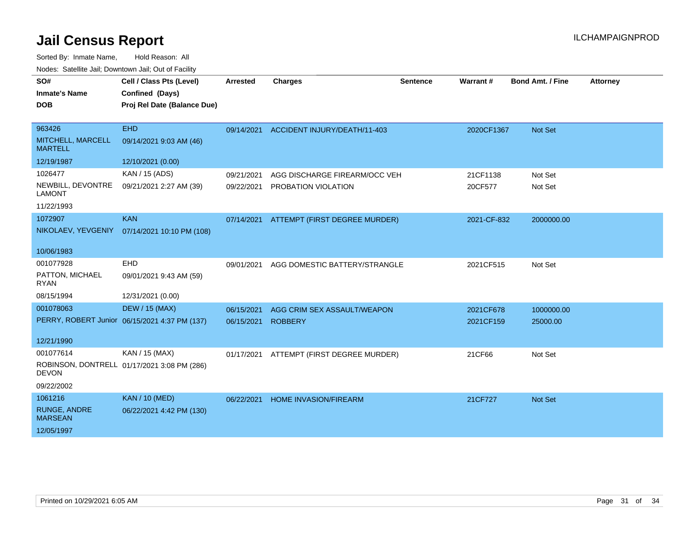Sorted By: Inmate Name, Hold Reason: All

Nodes: Satellite Jail; Downtown Jail; Out of Facility

| SO#<br><b>Inmate's Name</b><br><b>DOB</b>                   | Cell / Class Pts (Level)<br>Confined (Days)<br>Proj Rel Date (Balance Due) | <b>Arrested</b>          | <b>Charges</b>                                       | <b>Sentence</b> | Warrant#               | <b>Bond Amt. / Fine</b> | <b>Attorney</b> |
|-------------------------------------------------------------|----------------------------------------------------------------------------|--------------------------|------------------------------------------------------|-----------------|------------------------|-------------------------|-----------------|
| 963426<br>MITCHELL, MARCELL<br><b>MARTELL</b>               | <b>EHD</b><br>09/14/2021 9:03 AM (46)                                      |                          | 09/14/2021 ACCIDENT INJURY/DEATH/11-403              |                 | 2020CF1367             | Not Set                 |                 |
| 12/19/1987                                                  | 12/10/2021 (0.00)                                                          |                          |                                                      |                 |                        |                         |                 |
| 1026477<br>NEWBILL, DEVONTRE<br><b>LAMONT</b><br>11/22/1993 | KAN / 15 (ADS)<br>09/21/2021 2:27 AM (39)                                  | 09/21/2021<br>09/22/2021 | AGG DISCHARGE FIREARM/OCC VEH<br>PROBATION VIOLATION |                 | 21CF1138<br>20CF577    | Not Set<br>Not Set      |                 |
| 1072907<br>NIKOLAEV, YEVGENIY                               | <b>KAN</b><br>07/14/2021 10:10 PM (108)                                    | 07/14/2021               | ATTEMPT (FIRST DEGREE MURDER)                        |                 | 2021-CF-832            | 2000000.00              |                 |
| 10/06/1983                                                  |                                                                            |                          |                                                      |                 |                        |                         |                 |
| 001077928<br>PATTON, MICHAEL<br><b>RYAN</b>                 | <b>EHD</b><br>09/01/2021 9:43 AM (59)                                      | 09/01/2021               | AGG DOMESTIC BATTERY/STRANGLE                        |                 | 2021CF515              | Not Set                 |                 |
| 08/15/1994                                                  | 12/31/2021 (0.00)                                                          |                          |                                                      |                 |                        |                         |                 |
| 001078063                                                   | <b>DEW / 15 (MAX)</b><br>PERRY, ROBERT Junior 06/15/2021 4:37 PM (137)     | 06/15/2021<br>06/15/2021 | AGG CRIM SEX ASSAULT/WEAPON<br><b>ROBBERY</b>        |                 | 2021CF678<br>2021CF159 | 1000000.00<br>25000.00  |                 |
| 12/21/1990                                                  |                                                                            |                          |                                                      |                 |                        |                         |                 |
| 001077614<br><b>DEVON</b><br>09/22/2002                     | KAN / 15 (MAX)<br>ROBINSON, DONTRELL 01/17/2021 3:08 PM (286)              | 01/17/2021               | ATTEMPT (FIRST DEGREE MURDER)                        |                 | 21CF66                 | Not Set                 |                 |
| 1061216                                                     | <b>KAN / 10 (MED)</b>                                                      |                          |                                                      |                 |                        |                         |                 |
| <b>RUNGE, ANDRE</b><br><b>MARSEAN</b>                       | 06/22/2021 4:42 PM (130)                                                   | 06/22/2021               | <b>HOME INVASION/FIREARM</b>                         |                 | 21CF727                | Not Set                 |                 |
| 12/05/1997                                                  |                                                                            |                          |                                                      |                 |                        |                         |                 |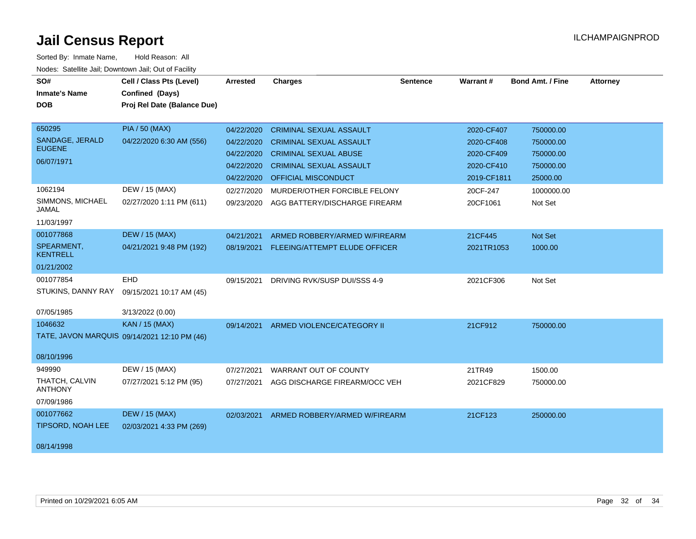| SO#<br><b>Inmate's Name</b><br><b>DOB</b> | Cell / Class Pts (Level)<br>Confined (Days)<br>Proj Rel Date (Balance Due) | Arrested   | <b>Charges</b>                        | <b>Sentence</b> | Warrant#    | <b>Bond Amt. / Fine</b> | <b>Attorney</b> |
|-------------------------------------------|----------------------------------------------------------------------------|------------|---------------------------------------|-----------------|-------------|-------------------------|-----------------|
|                                           |                                                                            |            |                                       |                 |             |                         |                 |
| 650295                                    | <b>PIA / 50 (MAX)</b>                                                      | 04/22/2020 | <b>CRIMINAL SEXUAL ASSAULT</b>        |                 | 2020-CF407  | 750000.00               |                 |
| SANDAGE, JERALD<br><b>EUGENE</b>          | 04/22/2020 6:30 AM (556)                                                   | 04/22/2020 | <b>CRIMINAL SEXUAL ASSAULT</b>        |                 | 2020-CF408  | 750000.00               |                 |
|                                           |                                                                            | 04/22/2020 | <b>CRIMINAL SEXUAL ABUSE</b>          |                 | 2020-CF409  | 750000.00               |                 |
| 06/07/1971                                |                                                                            | 04/22/2020 | <b>CRIMINAL SEXUAL ASSAULT</b>        |                 | 2020-CF410  | 750000.00               |                 |
|                                           |                                                                            | 04/22/2020 | <b>OFFICIAL MISCONDUCT</b>            |                 | 2019-CF1811 | 25000.00                |                 |
| 1062194                                   | DEW / 15 (MAX)                                                             | 02/27/2020 | MURDER/OTHER FORCIBLE FELONY          |                 | 20CF-247    | 1000000.00              |                 |
| SIMMONS, MICHAEL<br>JAMAL                 | 02/27/2020 1:11 PM (611)                                                   | 09/23/2020 | AGG BATTERY/DISCHARGE FIREARM         |                 | 20CF1061    | Not Set                 |                 |
| 11/03/1997                                |                                                                            |            |                                       |                 |             |                         |                 |
| 001077868                                 | <b>DEW / 15 (MAX)</b>                                                      | 04/21/2021 | ARMED ROBBERY/ARMED W/FIREARM         |                 | 21CF445     | Not Set                 |                 |
| SPEARMENT,<br><b>KENTRELL</b>             | 04/21/2021 9:48 PM (192)                                                   | 08/19/2021 | FLEEING/ATTEMPT ELUDE OFFICER         |                 | 2021TR1053  | 1000.00                 |                 |
| 01/21/2002                                |                                                                            |            |                                       |                 |             |                         |                 |
| 001077854                                 | EHD                                                                        | 09/15/2021 | DRIVING RVK/SUSP DUI/SSS 4-9          |                 | 2021CF306   | Not Set                 |                 |
| STUKINS, DANNY RAY                        | 09/15/2021 10:17 AM (45)                                                   |            |                                       |                 |             |                         |                 |
| 07/05/1985                                | 3/13/2022 (0.00)                                                           |            |                                       |                 |             |                         |                 |
| 1046632                                   | <b>KAN / 15 (MAX)</b>                                                      |            | 09/14/2021 ARMED VIOLENCE/CATEGORY II |                 | 21CF912     | 750000.00               |                 |
|                                           | TATE, JAVON MARQUIS 09/14/2021 12:10 PM (46)                               |            |                                       |                 |             |                         |                 |
| 08/10/1996                                |                                                                            |            |                                       |                 |             |                         |                 |
| 949990                                    | DEW / 15 (MAX)                                                             | 07/27/2021 | WARRANT OUT OF COUNTY                 |                 | 21TR49      | 1500.00                 |                 |
| THATCH, CALVIN<br><b>ANTHONY</b>          | 07/27/2021 5:12 PM (95)                                                    | 07/27/2021 | AGG DISCHARGE FIREARM/OCC VEH         |                 | 2021CF829   | 750000.00               |                 |
| 07/09/1986                                |                                                                            |            |                                       |                 |             |                         |                 |
| 001077662                                 | <b>DEW / 15 (MAX)</b>                                                      | 02/03/2021 | ARMED ROBBERY/ARMED W/FIREARM         |                 | 21CF123     | 250000.00               |                 |
| <b>TIPSORD, NOAH LEE</b>                  | 02/03/2021 4:33 PM (269)                                                   |            |                                       |                 |             |                         |                 |
| 08/14/1998                                |                                                                            |            |                                       |                 |             |                         |                 |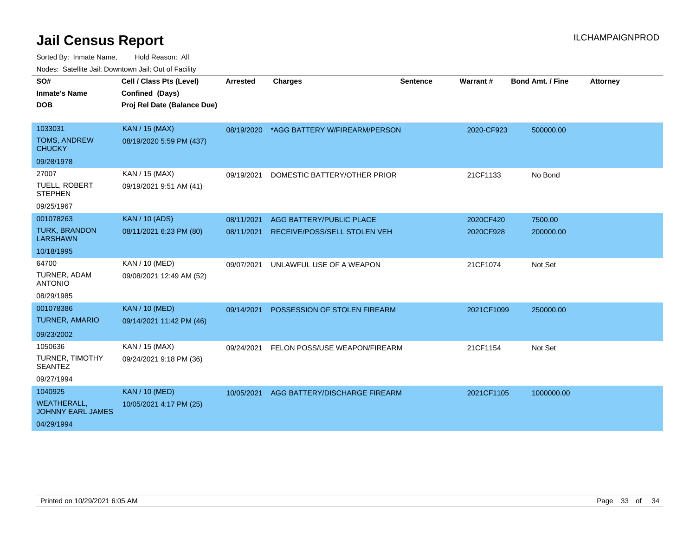| SO#                                            | Cell / Class Pts (Level)    | <b>Arrested</b> | <b>Charges</b>                           | <b>Sentence</b> | Warrant#   | <b>Bond Amt. / Fine</b> | <b>Attorney</b> |
|------------------------------------------------|-----------------------------|-----------------|------------------------------------------|-----------------|------------|-------------------------|-----------------|
| <b>Inmate's Name</b>                           | Confined (Days)             |                 |                                          |                 |            |                         |                 |
| <b>DOB</b>                                     | Proj Rel Date (Balance Due) |                 |                                          |                 |            |                         |                 |
|                                                |                             |                 |                                          |                 |            |                         |                 |
| 1033031                                        | <b>KAN / 15 (MAX)</b>       |                 | 08/19/2020 *AGG BATTERY W/FIREARM/PERSON |                 | 2020-CF923 | 500000.00               |                 |
| <b>TOMS, ANDREW</b><br><b>CHUCKY</b>           | 08/19/2020 5:59 PM (437)    |                 |                                          |                 |            |                         |                 |
| 09/28/1978                                     |                             |                 |                                          |                 |            |                         |                 |
| 27007                                          | KAN / 15 (MAX)              | 09/19/2021      | DOMESTIC BATTERY/OTHER PRIOR             |                 | 21CF1133   | No Bond                 |                 |
| <b>TUELL, ROBERT</b><br><b>STEPHEN</b>         | 09/19/2021 9:51 AM (41)     |                 |                                          |                 |            |                         |                 |
| 09/25/1967                                     |                             |                 |                                          |                 |            |                         |                 |
| 001078263                                      | <b>KAN / 10 (ADS)</b>       | 08/11/2021      | <b>AGG BATTERY/PUBLIC PLACE</b>          |                 | 2020CF420  | 7500.00                 |                 |
| <b>TURK, BRANDON</b><br><b>LARSHAWN</b>        | 08/11/2021 6:23 PM (80)     | 08/11/2021      | RECEIVE/POSS/SELL STOLEN VEH             |                 | 2020CF928  | 200000.00               |                 |
| 10/18/1995                                     |                             |                 |                                          |                 |            |                         |                 |
| 64700                                          | KAN / 10 (MED)              | 09/07/2021      | UNLAWFUL USE OF A WEAPON                 |                 | 21CF1074   | Not Set                 |                 |
| TURNER, ADAM<br><b>ANTONIO</b>                 | 09/08/2021 12:49 AM (52)    |                 |                                          |                 |            |                         |                 |
| 08/29/1985                                     |                             |                 |                                          |                 |            |                         |                 |
| 001078386                                      | <b>KAN / 10 (MED)</b>       | 09/14/2021      | POSSESSION OF STOLEN FIREARM             |                 | 2021CF1099 | 250000.00               |                 |
| <b>TURNER, AMARIO</b>                          | 09/14/2021 11:42 PM (46)    |                 |                                          |                 |            |                         |                 |
| 09/23/2002                                     |                             |                 |                                          |                 |            |                         |                 |
| 1050636                                        | KAN / 15 (MAX)              | 09/24/2021      | FELON POSS/USE WEAPON/FIREARM            |                 | 21CF1154   | Not Set                 |                 |
| <b>TURNER, TIMOTHY</b><br><b>SEANTEZ</b>       | 09/24/2021 9:18 PM (36)     |                 |                                          |                 |            |                         |                 |
| 09/27/1994                                     |                             |                 |                                          |                 |            |                         |                 |
| 1040925                                        | <b>KAN / 10 (MED)</b>       | 10/05/2021      | AGG BATTERY/DISCHARGE FIREARM            |                 | 2021CF1105 | 1000000.00              |                 |
| <b>WEATHERALL,</b><br><b>JOHNNY EARL JAMES</b> | 10/05/2021 4:17 PM (25)     |                 |                                          |                 |            |                         |                 |
| 04/29/1994                                     |                             |                 |                                          |                 |            |                         |                 |